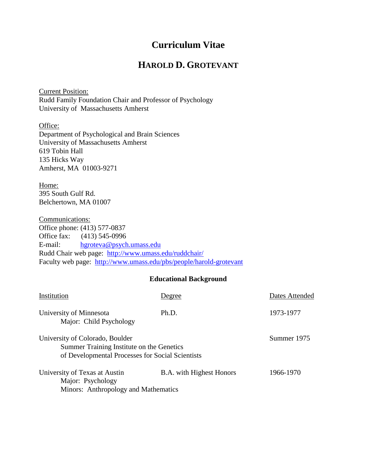# **Curriculum Vitae**

# **HAROLD D. GROTEVANT**

Current Position: Rudd Family Foundation Chair and Professor of Psychology University of Massachusetts Amherst

Office: Department of Psychological and Brain Sciences University of Massachusetts Amherst 619 Tobin Hall 135 Hicks Way Amherst, MA 01003-9271

Home: 395 South Gulf Rd. Belchertown, MA 01007

Communications: Office phone: (413) 577-0837 Office fax: (413) 545-0996 E-mail: [hgroteva@psych.umass.edu](mailto:hgroteva@psych.umass.edu) Rudd Chair web page: <http://www.umass.edu/ruddchair/> Faculty web page: <http://www.umass.edu/pbs/people/harold-grotevant>

### **Educational Background**

| Institution                                                                                                                      | Jegree                          | Dates Attended |
|----------------------------------------------------------------------------------------------------------------------------------|---------------------------------|----------------|
| University of Minnesota<br>Major: Child Psychology                                                                               | Ph.D.                           | 1973-1977      |
| University of Colorado, Boulder<br>Summer Training Institute on the Genetics<br>of Developmental Processes for Social Scientists |                                 | Summer 1975    |
| University of Texas at Austin<br>Major: Psychology<br>Minors: Anthropology and Mathematics                                       | <b>B.A.</b> with Highest Honors | 1966-1970      |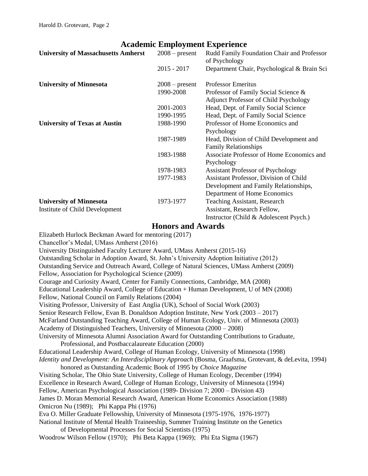# **Academic Employment Experience**

| <b>University of Massachusetts Amherst</b> | $2008$ – present | Rudd Family Foundation Chair and Professor<br>of Psychology |
|--------------------------------------------|------------------|-------------------------------------------------------------|
|                                            | $2015 - 2017$    | Department Chair, Psychological & Brain Sci                 |
| <b>University of Minnesota</b>             | $2008$ – present | <b>Professor Emeritus</b>                                   |
|                                            | 1990-2008        | Professor of Family Social Science &                        |
|                                            |                  | <b>Adjunct Professor of Child Psychology</b>                |
|                                            | 2001-2003        | Head, Dept. of Family Social Science                        |
|                                            | 1990-1995        | Head, Dept. of Family Social Science                        |
| <b>University of Texas at Austin</b>       | 1988-1990        | Professor of Home Economics and                             |
|                                            |                  | Psychology                                                  |
|                                            | 1987-1989        | Head, Division of Child Development and                     |
|                                            |                  | <b>Family Relationships</b>                                 |
|                                            | 1983-1988        | Associate Professor of Home Economics and                   |
|                                            |                  | Psychology                                                  |
|                                            | 1978-1983        | <b>Assistant Professor of Psychology</b>                    |
|                                            | 1977-1983        | Assistant Professor, Division of Child                      |
|                                            |                  | Development and Family Relationships,                       |
|                                            |                  | Department of Home Economics                                |
| <b>University of Minnesota</b>             | 1973-1977        | <b>Teaching Assistant, Research</b>                         |
| Institute of Child Development             |                  | Assistant, Research Fellow,                                 |
|                                            |                  | Instructor (Child & Adolescent Psych.)                      |

### **Honors and Awards**

Elizabeth Hurlock Beckman Award for mentoring (2017)

Chancellor's Medal, UMass Amherst (2016)

University Distinguished Faculty Lecturer Award, UMass Amherst (2015-16) Outstanding Scholar in Adoption Award, St. John's University Adoption Initiative (2012) Outstanding Service and Outreach Award, College of Natural Sciences, UMass Amherst (2009) Fellow, Association for Psychological Science (2009) Courage and Curiosity Award, Center for Family Connections, Cambridge, MA (2008) Educational Leadership Award, College of Education + Human Development, U of MN (2008) Fellow, National Council on Family Relations (2004) Visiting Professor, University of East Anglia (UK), School of Social Work (2003) Senior Research Fellow, Evan B. Donaldson Adoption Institute, New York (2003 – 2017) McFarland Outstanding Teaching Award, College of Human Ecology, Univ. of Minnesota (2003) Academy of Distinguished Teachers, University of Minnesota (2000 – 2008) University of Minnesota Alumni Association Award for Outstanding Contributions to Graduate, Professional, and Postbaccalaureate Education (2000) Educational Leadership Award, College of Human Ecology, University of Minnesota (1998) *Identity and Development: An Interdisciplinary Approach* (Bosma, Graafsma, Grotevant, & deLevita, 1994) honored as Outstanding Academic Book of 1995 by *Choice Magazine* Visiting Scholar, The Ohio State University, College of Human Ecology, December (1994) Excellence in Research Award, College of Human Ecology, University of Minnesota (1994) Fellow, American Psychological Association (1989- Division 7; 2000 – Division 43) James D. Moran Memorial Research Award, American Home Economics Association (1988) Omicron Nu (1989); Phi Kappa Phi (1976) Eva O. Miller Graduate Fellowship, University of Minnesota (1975-1976, 1976-1977) National Institute of Mental Health Traineeship, Summer Training Institute on the Genetics of Developmental Processes for Social Scientists (1975) Woodrow Wilson Fellow (1970); Phi Beta Kappa (1969); Phi Eta Sigma (1967)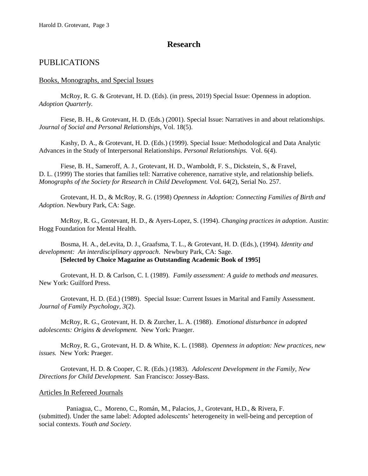# **Research**

## PUBLICATIONS

#### Books, Monographs, and Special Issues

McRoy, R. G. & Grotevant, H. D. (Eds). (in press, 2019) Special Issue: Openness in adoption. *Adoption Quarterly.*

Fiese, B. H., & Grotevant, H. D. (Eds.) (2001). Special Issue: Narratives in and about relationships. *Journal of Social and Personal Relationships*, Vol. 18(5).

Kashy, D. A., & Grotevant, H. D. (Eds.) (1999). Special Issue: Methodological and Data Analytic Advances in the Study of Interpersonal Relationships. *Personal Relationships.* Vol. 6(4).

Fiese, B. H., Sameroff, A. J., Grotevant, H. D., Wamboldt, F. S., Dickstein, S., & Fravel, D. L. (1999) The stories that families tell: Narrative coherence, narrative style, and relationship beliefs. *Monographs of the Society for Research in Child Development.* Vol. 64(2), Serial No. 257.

Grotevant, H. D., & McRoy, R. G. (1998) *Openness in Adoption: Connecting Families of Birth and Adoption*. Newbury Park, CA: Sage.

McRoy, R. G., Grotevant, H. D., & Ayers-Lopez, S. (1994). *Changing practices in adoption*. Austin: Hogg Foundation for Mental Health.

Bosma, H. A., deLevita, D. J., Graafsma, T. L., & Grotevant, H. D. (Eds.), (1994). *Identity and development: An interdisciplinary approach*. Newbury Park, CA: Sage. **[Selected by Choice Magazine as Outstanding Academic Book of 1995]**

Grotevant, H. D. & Carlson, C. I. (1989). *Family assessment: A guide to methods and measures.* New York: Guilford Press.

Grotevant, H. D. (Ed.) (1989). Special Issue: Current Issues in Marital and Family Assessment. *Journal of Family Psychology, 3*(2).

McRoy, R. G., Grotevant, H. D. & Zurcher, L. A. (1988). *Emotional disturbance in adopted adolescents: Origins & development.* New York: Praeger.

McRoy, R. G., Grotevant, H. D. & White, K. L. (1988). *Openness in adoption: New practices, new issues.* New York: Praeger.

Grotevant, H. D. & Cooper, C. R. (Eds.) (1983). *Adolescent Development in the Family, New Directions for Child Development.* San Francisco: Jossey-Bass.

#### Articles In Refereed Journals

Paniagua, C., Moreno, C., Román, M., Palacios, J., Grotevant, H.D., & Rivera, F. (submitted). Under the same label: Adopted adolescents' heterogeneity in well-being and perception of social contexts. *Youth and Society.*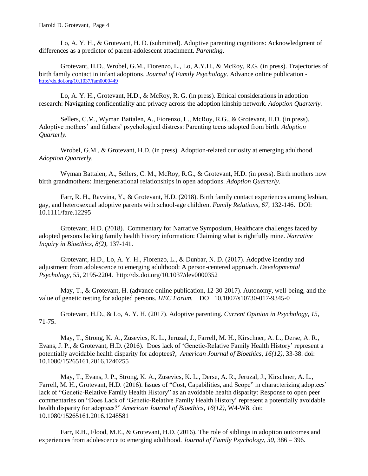Lo, A. Y. H., & Grotevant, H. D. (submitted). Adoptive parenting cognitions: Acknowledgment of differences as a predictor of parent-adolescent attachment. *Parenting*.

Grotevant, H.D., Wrobel, G.M., Fiorenzo, L., Lo, A.Y.H., & McRoy, R.G. (in press). Trajectories of birth family contact in infant adoptions. *Journal of Family Psychology*. Advance online publication [http://dx.doi.org/10.1037/fam0000449](http://psycnet.apa.org/doi/10.1037/fam0000449)

Lo, A. Y. H., Grotevant, H.D., & McRoy, R. G. (in press). Ethical considerations in adoption research: Navigating confidentiality and privacy across the adoption kinship network. *Adoption Quarterly.*

Sellers, C.M., Wyman Battalen, A., Fiorenzo, L., McRoy, R.G., & Grotevant, H.D. (in press). Adoptive mothers' and fathers' psychological distress: Parenting teens adopted from birth. *Adoption Quarterly.*

Wrobel, G.M., & Grotevant, H.D. (in press). Adoption-related curiosity at emerging adulthood. *Adoption Quarterly.*

Wyman Battalen, A., Sellers, C. M., McRoy, R.G., & Grotevant, H.D. (in press). Birth mothers now birth grandmothers: Intergenerational relationships in open adoptions. *Adoption Quarterly.*

Farr, R. H., Ravvina, Y., & Grotevant, H.D. (2018). Birth family contact experiences among lesbian, gay, and heterosexual adoptive parents with school-age children. *Family Relations, 67,* 132-146. DOI: 10.1111/fare.12295

Grotevant, H.D. (2018). Commentary for Narrative Symposium, Healthcare challenges faced by adopted persons lacking family health history information: Claiming what is rightfully mine. *Narrative Inquiry in Bioethics, 8(2),* 137-141.

Grotevant, H.D., Lo, A. Y. H., Fiorenzo, L., & Dunbar, N. D. (2017). Adoptive identity and adjustment from adolescence to emerging adulthood: A person-centered approach. *Developmental Psychology, 53,* 2195-2204. http://dx.doi.org/10.1037/dev0000352

May, T., & Grotevant, H. (advance online publication, 12-30-2017). Autonomy, well-being, and the value of genetic testing for adopted persons. *HEC Forum.* DOI 10.1007/s10730-017-9345-0

Grotevant, H.D., & Lo, A. Y. H. (2017). Adoptive parenting. *Current Opinion in Psychology, 15*, 71-75.

May, T., Strong, K. A., Zusevics, K. L., Jeruzal, J., Farrell, M. H., Kirschner, A. L., Derse, A. R., Evans, J. P., & Grotevant, H.D. (2016). Does lack of 'Genetic-Relative Family Health History' represent a potentially avoidable health disparity for adoptees?, *American Journal of Bioethics, 16(12),* 33-38. doi: 10.1080/15265161.2016.1240255

May, T., Evans, J. P., Strong, K. A., Zusevics, K. L., Derse, A. R., Jeruzal, J., Kirschner, A. L., Farrell, M. H., Grotevant, H.D. (2016). Issues of "Cost, Capabilities, and Scope" in characterizing adoptees' lack of "Genetic-Relative Family Health History" as an avoidable health disparity: Response to open peer commentaries on "Does Lack of 'Genetic-Relative Family Health History' represent a potentially avoidable health disparity for adoptees?" *American Journal of Bioethics, 16(12)*, W4-W8. doi: 10.1080/15265161.2016.1248581

Farr, R.H., Flood, M.E., & Grotevant, H.D. (2016). The role of siblings in adoption outcomes and experiences from adolescence to emerging adulthood. *Journal of Family Psychology, 30,* 386 – 396.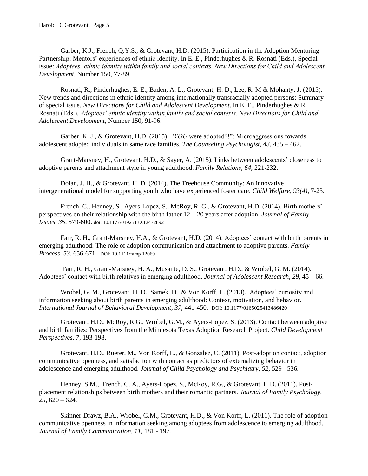Garber, K.J., French, Q.Y.S., & Grotevant, H.D. (2015). Participation in the Adoption Mentoring Partnership: Mentors' experiences of ethnic identity. In E. E., Pinderhughes & R. Rosnati (Eds.), Special issue: *Adoptees' ethnic identity within family and social contexts. New Directions for Child and Adolescent Development*, Number 150, 77-89.

Rosnati, R., Pinderhughes, E. E., Baden, A. L., Grotevant, H. D., Lee, R. M & Mohanty, J. (2015). New trends and directions in ethnic identity among internationally transracially adopted persons: Summary of special issue. *New Directions for Child and Adolescent Development*. In E. E., Pinderhughes & R. Rosnati (Eds.), *Adoptees' ethnic identity within family and social contexts. New Directions for Child and Adolescent Development,* Number 150*,* 91-96.

Garber, K. J., & Grotevant, H.D. (2015). *"YOU* were adopted?!": Microaggressions towards adolescent adopted individuals in same race families. *The Counseling Psychologist, 43,* 435 – 462.

Grant-Marsney, H., Grotevant, H.D., & Sayer, A. (2015). Links between adolescents' closeness to adoptive parents and attachment style in young adulthood. *Family Relations, 64,* 221-232.

Dolan, J. H., & Grotevant, H. D. (2014). The Treehouse Community: An innovative intergenerational model for supporting youth who have experienced foster care. *Child Welfare, 93(4),* 7-23.

French, C., Henney, S., Ayers-Lopez, S., McRoy, R. G., & Grotevant, H.D. (2014). Birth mothers' perspectives on their relationship with the birth father 12 – 20 years after adoption. *Journal of Family Issues, 35,* 579-600. doi: 10.1177/0192513X12472892

Farr, R. H., Grant-Marsney, H.A., & Grotevant, H.D. (2014). Adoptees' contact with birth parents in emerging adulthood: The role of adoption communication and attachment to adoptive parents. *Family Process, 53,* 656-671. DOI: 10.1111/famp.12069

Farr, R. H., Grant-Marsney, H. A., Musante, D. S., Grotevant, H.D., & Wrobel, G. M. (2014). Adoptees' contact with birth relatives in emerging adulthood. *Journal of Adolescent Research, 29,* 45 – 66.

Wrobel, G. M., Grotevant, H. D., Samek, D., & Von Korff, L. (2013). Adoptees' curiosity and information seeking about birth parents in emerging adulthood: Context, motivation, and behavior*. International Journal of Behavioral Development, 37,* 441-450. DOI: 10.1177/0165025413486420

Grotevant, H.D., McRoy, R.G., Wrobel, G.M., & Ayers-Lopez, S. (2013). Contact between adoptive and birth families: Perspectives from the Minnesota Texas Adoption Research Project. *Child Development Perspectives, 7*, 193-198.

Grotevant, H.D., Rueter, M., Von Korff, L., & Gonzalez, C. (2011). Post-adoption contact, adoption communicative openness, and satisfaction with contact as predictors of externalizing behavior in adolescence and emerging adulthood. *Journal of Child Psychology and Psychiatry, 52,* 529 - 536*.* 

Henney, S.M., French, C. A., Ayers-Lopez, S., McRoy, R.G., & Grotevant, H.D. (2011). Postplacement relationships between birth mothers and their romantic partners. *Journal of Family Psychology, 25,* 620 – 624.

Skinner-Drawz, B.A., Wrobel, G.M., Grotevant, H.D., & Von Korff, L. (2011). The role of adoption communicative openness in information seeking among adoptees from adolescence to emerging adulthood. *Journal of Family Communication, 11,* 181 - 197*.*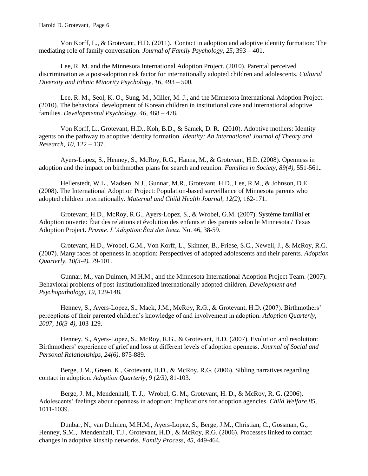Harold D. Grotevant, Page 6

Von Korff, L., & Grotevant, H.D. (2011). Contact in adoption and adoptive identity formation: The mediating role of family conversation. *Journal of Family Psychology, 25*, 393 – 401.

Lee, R. M. and the Minnesota International Adoption Project. (2010). Parental perceived discrimination as a post-adoption risk factor for internationally adopted children and adolescents. *Cultural Diversity and Ethnic Minority Psychology, 16,* 493 – 500*.*

Lee, R. M., Seol, K. O., Sung, M., Miller, M. J., and the Minnesota International Adoption Project. (2010). The behavioral development of Korean children in institutional care and international adoptive families. *Developmental Psychology, 46*, 468 – 478.

Von Korff, L., Grotevant, H.D., Koh, B.D., & Samek, D. R. (2010). Adoptive mothers: Identity agents on the pathway to adoptive identity formation. *Identity: An International Journal of Theory and Research, 10,* 122 – 137.

Ayers-Lopez, S., Henney, S., McRoy, R.G., Hanna, M., & Grotevant, H.D. (2008). Openness in adoption and the impact on birthmother plans for search and reunion. *Families in Society, 89(4),* 551-561.*.*

Hellerstedt, W.L., Madsen, N.J., Gunnar, M.R., Grotevant, H.D., Lee, R.M., & Johnson, D.E. (2008). The International Adoption Project: Population-based surveillance of Minnesota parents who adopted children internationally. *Maternal and Child Health Journal, 12(2),* 162-171.

Grotevant, H.D., McRoy, R.G., Ayers-Lopez, S., & Wrobel, G.M. (2007). Système familial et Adoption ouverte: État des relations et évolution des enfants et des parents selon le Minnesota / Texas Adoption Project. *Prisme. L'Adoption:État des lieux.* No. 46, 38-59.

Grotevant, H.D., Wrobel, G.M., Von Korff, L., Skinner, B., Friese, S.C., Newell, J., & McRoy, R.G. (2007). Many faces of openness in adoption: Perspectives of adopted adolescents and their parents. *Adoption Quarterly, 10(3-4).* 79-101.

Gunnar, M., van Dulmen, M.H.M., and the Minnesota International Adoption Project Team. (2007). Behavioral problems of post-institutionalized internationally adopted children. *Development and Psychopathology, 19,* 129-148*.*

Henney, S., Ayers-Lopez, S., Mack, J.M., McRoy, R.G., & Grotevant, H.D. (2007). Birthmothers' perceptions of their parented children's knowledge of and involvement in adoption. *Adoption Quarterly, 2007, 10(3-4),* 103-129.

Henney, S., Ayers-Lopez, S., McRoy, R.G., & Grotevant, H.D. (2007). Evolution and resolution: Birthmothers' experience of grief and loss at different levels of adoption openness. *Journal of Social and Personal Relationships, 24(6),* 875-889.

Berge, J.M., Green, K., Grotevant, H.D., & McRoy, R.G. (2006). Sibling narratives regarding contact in adoption. *Adoption Quarterly, 9 (2/3),* 81-103.

Berge, J. M., Mendenhall, T. J., Wrobel, G. M., Grotevant, H. D., & McRoy, R. G. (2006). Adolescents' feelings about openness in adoption: Implications for adoption agencies. *Child Welfare,85,*  1011-1039.

Dunbar, N., van Dulmen, M.H.M., Ayers-Lopez, S., Berge, J.M., Christian, C., Gossman, G., Henney, S.M., Mendenhall, T.J., Grotevant, H.D., & McRoy, R.G. (2006). Processes linked to contact changes in adoptive kinship networks. *Family Process, 45,* 449-464.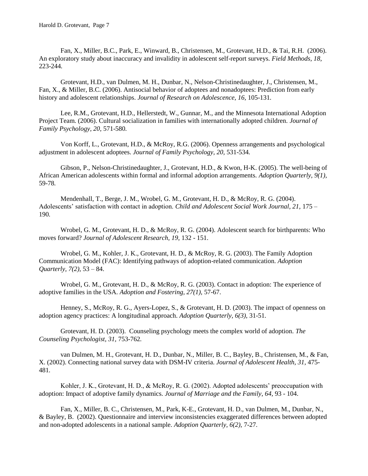Fan, X., Miller, B.C., Park, E., Winward, B., Christensen, M., Grotevant, H.D., & Tai, R.H. (2006). An exploratory study about inaccuracy and invalidity in adolescent self-report surveys. *Field Methods, 18,*  223-244*.*

Grotevant, H.D., van Dulmen, M. H., Dunbar, N., Nelson-Christinedaughter, J., Christensen, M., Fan, X., & Miller, B.C. (2006). Antisocial behavior of adoptees and nonadoptees: Prediction from early history and adolescent relationships. *Journal of Research on Adolescence, 16,* 105-131*.*

Lee, R.M., Grotevant, H.D., Hellerstedt, W., Gunnar, M., and the Minnesota International Adoption Project Team. (2006). Cultural socialization in families with internationally adopted children. *Journal of Family Psychology, 20,* 571-580*.* 

Von Korff, L., Grotevant, H.D., & McRoy, R.G. (2006). Openness arrangements and psychological adjustment in adolescent adoptees. *Journal of Family Psychology, 20,* 531-534*.* 

Gibson, P., Nelson-Christinedaughter, J., Grotevant, H.D., & Kwon, H-K. (2005). The well-being of African American adolescents within formal and informal adoption arrangements. *Adoption Quarterly, 9(1),*  59-78*.*

Mendenhall, T., Berge, J. M., Wrobel, G. M., Grotevant, H. D., & McRoy, R. G. (2004). Adolescents' satisfaction with contact in adoption. *Child and Adolescent Social Work Journal, 21,* 175 – 190*.*

Wrobel, G. M., Grotevant, H. D., & McRoy, R. G. (2004). Adolescent search for birthparents: Who moves forward? *Journal of Adolescent Research, 19,* 132 - 151.

Wrobel, G. M., Kohler, J. K., Grotevant, H. D., & McRoy, R. G. (2003). The Family Adoption Communication Model (FAC): Identifying pathways of adoption-related communication. *Adoption Quarterly, 7(2),* 53 – 84.

Wrobel, G. M., Grotevant, H. D., & McRoy, R. G. (2003). Contact in adoption: The experience of adoptive families in the USA. *Adoption and Fostering, 27(1),* 57-67.

Henney, S., McRoy, R. G., Ayers-Lopez, S., & Grotevant, H. D. (2003). The impact of openness on adoption agency practices: A longitudinal approach. *Adoption Quarterly, 6(3),* 31-51.

Grotevant, H. D. (2003). Counseling psychology meets the complex world of adoption. *The Counseling Psychologist, 31,* 753-762*.*

van Dulmen, M. H., Grotevant, H. D., Dunbar, N., Miller, B. C., Bayley, B., Christensen, M., & Fan, X. (2002). Connecting national survey data with DSM-IV criteria. *Journal of Adolescent Health, 31,* 475- 481*.* 

Kohler, J. K., Grotevant, H. D., & McRoy, R. G. (2002). Adopted adolescents' preoccupation with adoption: Impact of adoptive family dynamics. *Journal of Marriage and the Family*, *64*, 93 - 104.

Fan, X., Miller, B. C., Christensen, M., Park, K-E., Grotevant, H. D., van Dulmen, M., Dunbar, N., & Bayley, B. (2002). Questionnaire and interview inconsistencies exaggerated differences between adopted and non-adopted adolescents in a national sample. *Adoption Quarterly, 6(2),* 7-27.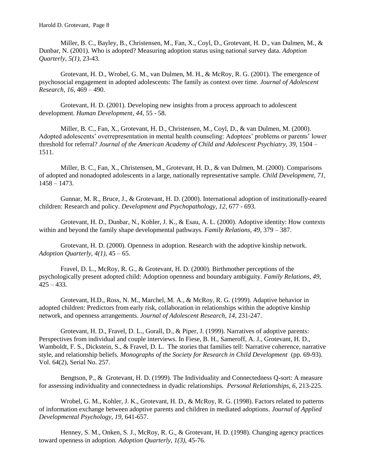Miller, B. C., Bayley, B., Christensen, M., Fan, X., Coyl, D., Grotevant, H. D., van Dulmen, M., & Dunbar, N. (2001). Who is adopted? Measuring adoption status using national survey data. *Adoption Quarterly, 5(1),* 23-43*.*

Grotevant, H. D., Wrobel, G. M., van Dulmen, M. H., & McRoy, R. G. (2001). The emergence of psychosocial engagement in adopted adolescents: The family as context over time*. Journal of Adolescent Research, 16,* 469 – 490.

Grotevant, H. D. (2001). Developing new insights from a process approach to adolescent development. *Human Development, 44,* 55 - 58.

Miller, B. C., Fan, X., Grotevant, H. D., Christensen, M., Coyl, D., & van Dulmen, M. (2000). Adopted adolescents' overrepresentation in mental health counseling: Adoptees' problems or parents' lower threshold for referral? *Journal of the American Academy of Child and Adolescent Psychiatry, 39,* 1504 – 1511.

Miller, B. C., Fan, X., Christensen, M., Grotevant, H. D., & van Dulmen, M. (2000). Comparisons of adopted and nonadopted adolescents in a large, nationally representative sample*. Child Development, 71,*  1458 – 1473.

Gunnar, M. R., Bruce, J., & Grotevant, H. D. (2000). International adoption of institutionally-reared children: Research and policy. *Development and Psychopathology, 12,* 677 - 693*.*

Grotevant, H. D., Dunbar, N., Kohler, J. K., & Esau, A. L. (2000). Adoptive identity: How contexts within and beyond the family shape developmental pathways*. Family Relations, 49,* 379 – 387.

Grotevant, H. D. (2000). Openness in adoption. Research with the adoptive kinship network. *Adoption Quarterly, 4(1),* 45 – 65.

Fravel, D. L., McRoy, R. G., & Grotevant, H. D. (2000). Birthmother perceptions of the psychologically present adopted child: Adoption openness and boundary ambiguity*. Family Relations, 49,*  425 – 433*.*

Grotevant, H.D., Ross, N. M., Marchel, M. A., & McRoy, R. G. (1999). Adaptive behavior in adopted children: Predictors from early risk, collaboration in relationships within the adoptive kinship network, and openness arrangements. *Journal of Adolescent Research, 14,* 231-247.

Grotevant, H. D., Fravel, D. L., Gorall, D., & Piper, J. (1999). Narratives of adoptive parents: Perspectives from individual and couple interviews*.* In Fiese, B. H., Sameroff, A. J., Grotevant, H. D., Wamboldt, F. S., Dickstein, S., & Fravel, D. L. The stories that families tell: Narrative coherence, narrative style, and relationship beliefs. *Monographs of the Society for Research in Child Development* (pp. 69-93). Vol. 64(2), Serial No. 257.

Bengtson, P., & Grotevant, H. D. (1999). The Individuality and Connectedness Q-sort: A measure for assessing individuality and connectedness in dyadic relationships*. Personal Relationships, 6,* 213-225.

Wrobel, G. M., Kohler, J. K., Grotevant, H. D., & McRoy, R. G. (1998). Factors related to patterns of information exchange between adoptive parents and children in mediated adoptions. *Journal of Applied Developmental Psychology, 19,* 641-657.

Henney, S. M., Onken, S. J., McRoy, R. G., & Grotevant, H. D. (1998). Changing agency practices toward openness in adoption*. Adoption Quarterly, 1(3),* 45-76*.*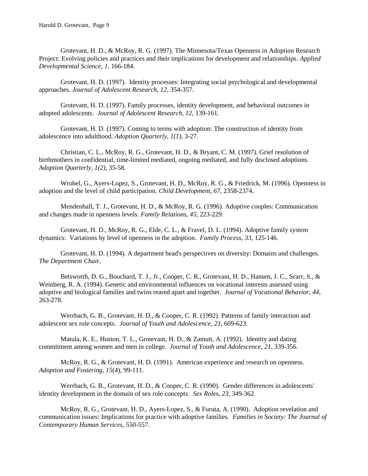Grotevant, H. D., & McRoy, R. G. (1997). The Minnesota/Texas Openness in Adoption Research Project: Evolving policies and practices and their implications for development and relationships*. Applied Developmental Science, 1,* 166-184.

Grotevant, H. D. (1997). Identity processes: Integrating social psychological and developmental approaches*. Journal of Adolescent Research, 12,* 354-357*.*

Grotevant, H. D. (1997). Family processes, identity development, and behavioral outcomes in adopted adolescents. *Journal of Adolescent Research, 12,* 139-161*.*

Grotevant, H. D. (1997). Coming to terms with adoption: The construction of identity from adolescence into adulthood. *Adoption Quarterly, 1(1),* 3-27*.*

Christian, C. L., McRoy, R. G., Grotevant, H. D., & Bryant, C. M. (1997). Grief resolution of birthmothers in confidential, time-limited mediated, ongoing mediated, and fully disclosed adoptions. *Adoption Quarterly, 1(2),* 35-58*.*

Wrobel, G., Ayers-Lopez, S., Grotevant, H. D., McRoy, R. G., & Friedrick, M. (1996). Openness in adoption and the level of child participation. *Child Development, 67,* 2358-2374.

Mendenhall, T. J., Grotevant, H. D., & McRoy, R. G. (1996). Adoptive couples: Communication and changes made in openness levels. *Family Relations, 45,* 223-229.

Grotevant, H. D., McRoy, R. G., Elde, C. L., & Fravel, D. L. (1994). Adoptive family system dynamics: Variations by level of openness in the adoption. *Family Process*, *33*, 125-146.

Grotevant, H. D. (1994). A department head's perspectives on diversity: Domains and challenges. *The Department Chair*.

Betsworth, D. G., Bouchard, T. J., Jr., Cooper, C. R., Grotevant, H. D., Hansen, J. C., Scarr, S., & Weinberg, R. A. (1994). Genetic and environmental influences on vocational interests assessed using adoptive and biological families and twins reared apart and together. *Journal of Vocational Behavior*, *44*, 263-278.

Werrbach, G. B., Grotevant, H. D., & Cooper, C. R. (1992). Patterns of family interaction and adolescent sex role concepts. *Journal of Youth and Adolescence*, *21*, 609-623.

Matula, K. E., Huston, T. L., Grotevant, H. D., & Zamutt, A. (1992). Identity and dating commitment among women and men in college. *Journal of Youth and Adolescence*, *21*, 339-356.

McRoy, R. G., & Grotevant, H. D. (1991). American experience and research on openness. *Adoption and Fostering*, *15*(4), 99-111.

Werrbach, G. B., Grotevant, H. D., & Cooper, C. R. (1990). Gender differences in adolescents' identity development in the domain of sex role concepts. *Sex Roles*, *23*, 349-362.

McRoy, R. G., Grotevant, H. D., Ayers-Lopez, S., & Furuta, A. (1990). Adoption revelation and communication issues: Implications for practice with adoptive families. *Families in Society: The Journal of Contemporary Human Services*, 550-557.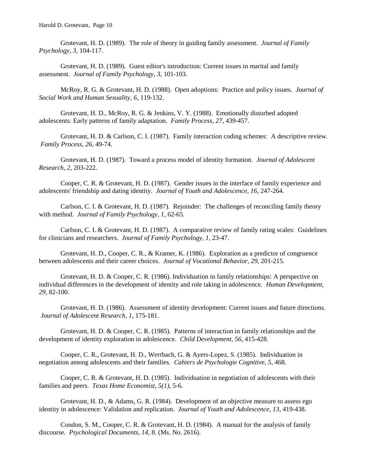Grotevant, H. D. (1989). The role of theory in guiding family assessment. *Journal of Family Psychology, 3*, 104-117.

Grotevant, H. D. (1989). Guest editor's introduction: Current issues in marital and family assessment. *Journal of Family Psychology, 3*, 101-103.

McRoy, R. G. & Grotevant, H. D. (1988). Open adoptions: Practice and policy issues. *Journal of Social Work and Human Sexuality, 6*, 119-132.

Grotevant, H. D., McRoy, R. G. & Jenkins, V. Y. (1988). Emotionally disturbed adopted adolescents: Early patterns of family adaptation. *Family Process, 27*, 439-457.

Grotevant, H. D. & Carlson, C. I. (1987). Family interaction coding schemes: A descriptive review. *Family Process, 26*, 49-74.

Grotevant, H. D. (1987). Toward a process model of identity formation. *Journal of Adolescent Research, 2*, 203-222.

Cooper, C. R. & Grotevant, H. D. (1987). Gender issues in the interface of family experience and adolescents' friendship and dating identity. *Journal of Youth and Adolescence, 16*, 247-264.

Carlson, C. I. & Grotevant, H. D. (1987). Rejoinder: The challenges of reconciling family theory with method. *Journal of Family Psychology, 1*, 62-65.

Carlson, C. I. & Grotevant, H. D. (1987). A comparative review of family rating scales: Guidelines for clinicians and researchers. *Journal of Family Psychology, 1,* 23-47.

Grotevant, H. D., Cooper, C. R., & Kramer, K. (1986). Exploration as a predictor of congruence between adolescents and their career choices. *Journal of Vocational Behavior, 29*, 201-215.

Grotevant, H. D. & Cooper, C. R. (1986). Individuation in family relationships: A perspective on individual differences in the development of identity and role taking in adolescence. *Human Development, 29*, 82-100.

Grotevant, H. D. (1986). Assessment of identity development: Current issues and future directions. *Journal of Adolescent Research, 1*, 175-181.

Grotevant, H. D. & Cooper, C. R. (1985). Patterns of interaction in family relationships and the development of identity exploration in adolescence. *Child Development, 56*, 415-428.

Cooper, C. R., Grotevant, H. D., Werrbach, G. & Ayers-Lopez, S. (1985). Individuation in negotiation among adolescents and their families. *Cahiers de Psychologie Cognitive, 5*, 468.

Cooper, C. R. & Grotevant, H. D. (1985). Individuation in negotiation of adolescents with their families and peers. *Texas Home Economist, 5(1),* 5-6.

Grotevant, H. D., & Adams, G. R. (1984). Development of an objective measure to assess ego identity in adolescence: Validation and replication. *Journal of Youth and Adolescence, 13*, 419-438.

Condon, S. M., Cooper, C. R. & Grotevant, H. D. (1984). A manual for the analysis of family discourse. *Psychological Documents, 14,* 8. (Ms. No. 2616).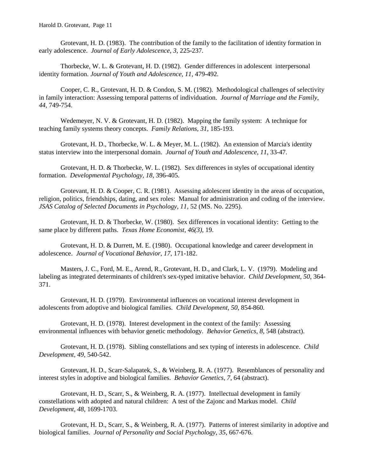Grotevant, H. D. (1983). The contribution of the family to the facilitation of identity formation in early adolescence. *Journal of Early Adolescence, 3*, 225-237.

Thorbecke, W. L. & Grotevant, H. D. (1982). Gender differences in adolescent interpersonal identity formation. *Journal of Youth and Adolescence, 11*, 479-492.

Cooper, C. R., Grotevant, H. D. & Condon, S. M. (1982). Methodological challenges of selectivity in family interaction: Assessing temporal patterns of individuation. *Journal of Marriage and the Family, 44,* 749-754.

Wedemeyer, N. V. & Grotevant, H. D. (1982). Mapping the family system: A technique for teaching family systems theory concepts. *Family Relations, 31*, 185-193.

Grotevant, H. D., Thorbecke, W. L. & Meyer, M. L. (1982). An extension of Marcia's identity status interview into the interpersonal domain. *Journal of Youth and Adolescence, 11*, 33-47.

Grotevant, H. D. & Thorbecke, W. L. (1982). Sex differences in styles of occupational identity formation. *Developmental Psychology, 18*, 396-405.

Grotevant, H. D. & Cooper, C. R. (1981). Assessing adolescent identity in the areas of occupation, religion, politics, friendships, dating, and sex roles: Manual for administration and coding of the interview. *JSAS Catalog of Selected Documents in Psychology, 11*, 52 (MS. No. 2295).

Grotevant, H. D. & Thorbecke, W. (1980). Sex differences in vocational identity: Getting to the same place by different paths. *Texas Home Economist, 46(3)*, 19.

Grotevant, H. D. & Durrett, M. E. (1980). Occupational knowledge and career development in adolescence. *Journal of Vocational Behavior, 17,* 171-182.

Masters, J. C., Ford, M. E., Arend, R., Grotevant, H. D., and Clark, L. V. (1979). Modeling and labeling as integrated determinants of children's sex-typed imitative behavior. *Child Development, 50*, 364- 371.

Grotevant, H. D. (1979). Environmental influences on vocational interest development in adolescents from adoptive and biological families. *Child Development, 50*, 854-860.

Grotevant, H. D. (1978). Interest development in the context of the family: Assessing environmental influences with behavior genetic methodology. *Behavior Genetics, 8*, 548 (abstract).

Grotevant, H. D. (1978). Sibling constellations and sex typing of interests in adolescence. *Child Development, 49,* 540-542.

Grotevant, H. D., Scarr-Salapatek, S., & Weinberg, R. A. (1977). Resemblances of personality and interest styles in adoptive and biological families. *Behavior Genetics, 7*, 64 (abstract).

Grotevant, H. D., Scarr, S., & Weinberg, R. A. (1977). Intellectual development in family constellations with adopted and natural children: A test of the Zajonc and Markus model. *Child Development, 48*, 1699-1703.

Grotevant, H. D., Scarr, S., & Weinberg, R. A. (1977). Patterns of interest similarity in adoptive and biological families. *Journal of Personality and Social Psychology, 35,* 667-676.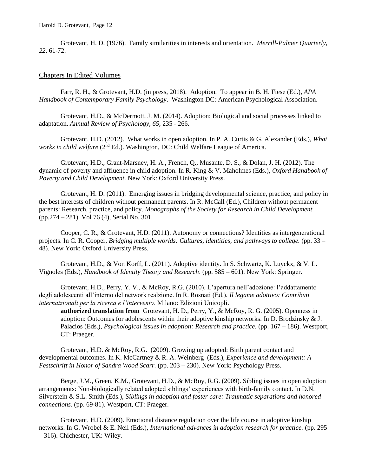Grotevant, H. D. (1976). Family similarities in interests and orientation. *Merrill-Palmer Quarterly, 22,* 61-72.

#### Chapters In Edited Volumes

Farr, R. H., & Grotevant, H.D. (in press, 2018). Adoption. To appear in B. H. Fiese (Ed.), *APA Handbook of Contemporary Family Psychology*. Washington DC: American Psychological Association.

Grotevant, H.D., & McDermott, J. M. (2014). Adoption: Biological and social processes linked to adaptation. *Annual Review of Psychology, 65,* 235 - 266*.*

Grotevant, H.D. (2012). What works in open adoption. In P. A. Curtis & G. Alexander (Eds.), *What works in child welfare* (2<sup>nd</sup> Ed.). Washington, DC: Child Welfare League of America.

Grotevant, H.D., Grant-Marsney, H. A., French, Q., Musante, D. S., & Dolan, J. H. (2012). The dynamic of poverty and affluence in child adoption. In R. King & V. Maholmes (Eds.), *Oxford Handbook of Poverty and Child Development*. New York: Oxford University Press.

Grotevant, H. D. (2011). Emerging issues in bridging developmental science, practice, and policy in the best interests of children without permanent parents. In R. McCall (Ed.), Children without permanent parents: Research, practice, and policy. *Monographs of the Society for Research in Child Development.* (pp.274 – 281). Vol 76 (4), Serial No. 301.

Cooper, C. R., & Grotevant, H.D. (2011). Autonomy or connections? Identities as intergenerational projects. In C. R. Cooper, *Bridging multiple worlds: Cultures, identities, and pathways to college.* (pp. 33 – 48). New York: Oxford University Press.

Grotevant, H.D., & Von Korff, L. (2011). Adoptive identity. In S. Schwartz, K. Luyckx, & V. L. Vignoles (Eds.), *Handbook of Identity Theory and Research*. (pp. 585 – 601). New York: Springer.

Grotevant, H.D., Perry, Y. V., & McRoy, R.G. (2010). L'apertura nell'adozione: l'addattamento degli adolescenti all'interno del network realzione. In R. Rosnati (Ed.), *Il legame adottivo: Contributi internatzionali per la ricerca e l'intervento.* Milano: Edizioni Unicopli.

**authorized translation from** Grotevant, H. D., Perry, Y., & McRoy, R. G. (2005). Openness in adoption: Outcomes for adolescents within their adoptive kinship networks*.* In D. Brodzinsky & J. Palacios (Eds.), *Psychological issues in adoption: Research and practice.* (pp. 167 – 186). Westport, CT: Praeger.

Grotevant, H.D. & McRoy, R.G. (2009). Growing up adopted: Birth parent contact and developmental outcomes. In K. McCartney & R. A. Weinberg (Eds.), *Experience and development: A Festschrift in Honor of Sandra Wood Scarr.* (pp. 203 – 230). New York: Psychology Press.

Berge, J.M., Green, K.M., Grotevant, H.D., & McRoy, R.G. (2009). Sibling issues in open adoption arrangements: Non-biologically related adopted siblings' experiences with birth-family contact. In D.N. Silverstein & S.L. Smith (Eds.), S*iblings in adoption and foster care: Traumatic separations and honored connections.* (pp. 69-81). Westport, CT: Praeger.

Grotevant, H.D. (2009). Emotional distance regulation over the life course in adoptive kinship networks. In G. Wrobel & E. Neil (Eds.), *International advances in adoption research for practice.* (pp. 295 – 316). Chichester, UK: Wiley.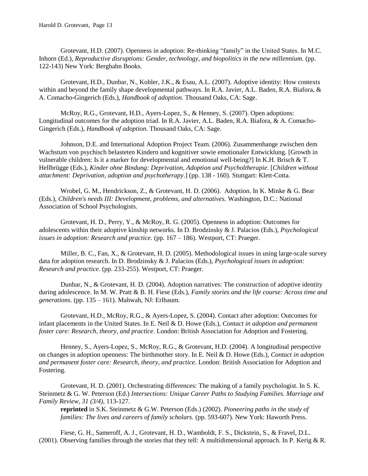Grotevant, H.D. (2007). Openness in adoption: Re-thinking "family" in the United States. In M.C. Inhorn (Ed.), *Reproductive disruptions: Gender, technology, and biopolitics in the new millennium.* (pp. 122-143) New York: Berghahn Books.

Grotevant, H.D., Dunbar, N., Kohler, J.K., & Esau, A.L. (2007). Adoptive identity: How contexts within and beyond the family shape developmental pathways. In R.A. Javier, A.L. Baden, R.A. Biafora, & A. Comacho-Gingerich (Eds.), *Handbook of adoption.* Thousand Oaks, CA: Sage.

McRoy, R.G., Grotevant, H.D., Ayers-Lopez, S., & Henney, S. (2007). Open adoptions: Longitudinal outcomes for the adoption triad. In R.A. Javier, A.L. Baden, R.A. Biafora, & A. Comacho-Gingerich (Eds.), *Handbook of adoption.* Thousand Oaks, CA: Sage.

Johnson, D.E. and International Adoption Project Team. (2006). Zusammenhange zwischen dem Wachstum von psychisch belasteten Kindern und kognitiver sowie emotionaler Entwicklung. [Growth in vulnerable children: Is it a marker for developmental and emotional well-being?] In K.H. Brisch & T. Hellbrügge (Eds.), *Kinder ohne Bindung: Deprivation, Adoption und Psycholtherapie*. [*Children without attachment: Deprivation, adoption and psychotherapy*.] (pp. 138 - 160). Stuttgart: Klett-Cotta.

Wrobel, G. M., Hendrickson, Z., & Grotevant, H. D. (2006). Adoption. In K. Minke & G. Bear (Eds.), *Children's needs III: Development, problems, and alternatives.* Washington, D.C.: National Association of School Psychologists.

Grotevant, H. D., Perry, Y., & McRoy, R. G. (2005). Openness in adoption: Outcomes for adolescents within their adoptive kinship networks*.* In D. Brodzinsky & J. Palacios (Eds.), *Psychological issues in adoption: Research and practice.* (pp. 167 – 186). Westport, CT: Praeger.

Miller, B. C., Fan, X., & Grotevant, H. D. (2005). Methodological issues in using large-scale survey data for adoption research. In D. Brodzinsky & J. Palacios (Eds.), *Psychological issues in adoption: Research and practice.* (pp. 233-255). Westport, CT: Praeger.

Dunbar, N., & Grotevant, H. D. (2004). Adoption narratives: The construction of adoptive identity during adolescence. In M. W. Pratt & B. H. Fiese (Eds.), *Family stories and the life course: Across time and generations*. (pp. 135 – 161). Mahwah, NJ: Erlbaum.

Grotevant, H.D., McRoy, R.G., & Ayers-Lopez, S. (2004). Contact after adoption: Outcomes for infant placements in the United States. In E. Neil & D. Howe (Eds.), *Contact in adoption and permanent foster care: Research, theory, and practice*. London: British Association for Adoption and Fostering.

Henney, S., Ayers-Lopez, S., McRoy, R.G., & Grotevant, H.D. (2004). A longitudinal perspective on changes in adoption openness: The birthmother story. In E. Neil & D. Howe (Eds.), *Contact in adoption and permanent foster care: Research, theory, and practice*. London: British Association for Adoption and Fostering.

Grotevant, H. D. (2001). Orchestrating differences: The making of a family psychologist. In S. K. Steinmetz & G. W. Peterson (Ed.) *Intersections: Unique Career Paths to Studying Families. Marriage and Family Review, 31 (3/4)*, 113-127.

**reprinted** in S.K. Steinmetz & G.W. Peterson (Eds.) (2002). *Pioneering paths in the study of families: The lives and careers of family scholars.* (pp. 593-607). New York: Haworth Press.

Fiese, G. H., Sameroff, A. J., Grotevant, H. D., Wamboldt, F. S., Dickstein, S., & Fravel, D.L. (2001). Observing families through the stories that they tell: A multidimensional approach. In P. Kerig & R.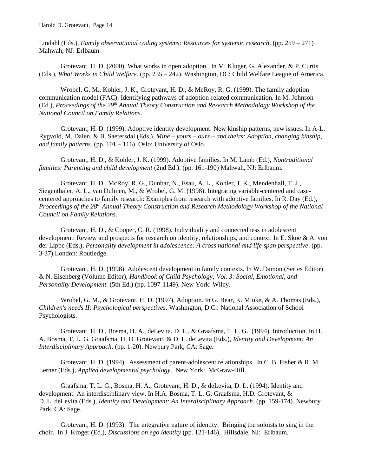Lindahl (Eds.), *Family observational coding systems: Resources for systemic research*. (pp. 259 – 271) Mahwah, NJ: Erlbaum.

Grotevant, H. D. (2000). What works in open adoption. In M. Kluger, G. Alexander, & P. Curtis (Eds.), *What Works in Child Welfare*. (pp. 235 – 242). Washington, DC: Child Welfare League of America.

Wrobel, G. M., Kohler, J. K., Grotevant, H. D., & McRoy, R. G. (1999). The family adoption communication model (FAC): Identifying pathways of adoption-related communication. In M. Johnson (Ed.), *Proceedings of the 29th Annual Theory Construction and Research Methodology Workshop of the National Council on Family Relations*.

Grotevant, H. D. (1999). Adoptive identity development: New kinship patterns, new issues. In A-L. Rygvold, M. Dalen, & B. Saetersdal (Eds.), *Mine – yours – ours – and theirs: Adoption, changing kinship, and family patterns*. (pp. 101 – 116). Oslo: University of Oslo.

Grotevant, H. D., & Kohler, J. K. (1999). Adoptive families. In M. Lamb (Ed.), *Nontraditional families: Parenting and child development* (2nd Ed.). (pp. 161-190) Mahwah, NJ: Erlbaum.

Grotevant, H. D., McRoy, R. G., Dunbar, N., Esau, A. L., Kohler, J. K., Mendenhall, T. J., Siegenthaler, A. L., van Dulmen, M., & Wrobel, G. M. (1998). Integrating variable-centered and casecentered approaches to family research: Examples from research with adoptive families. In R. Day (Ed.), *Proceedings of the 28th Annual Theory Construction and Research Methodology Workshop of the National Council on Family Relations*.

Grotevant, H. D., & Cooper, C. R. (1998). Individuality and connectedness in adolescent development: Review and prospects for research on identity, relationships, and context. In E. Skoe & A. von der Lippe (Eds.), *Personality development in adolescence: A cross national and life span perspective*. (pp. 3-37) London: Routledge.

Grotevant, H. D. (1998). Adolescent development in family contexts. In W. Damon (Series Editor) & N. Eisenberg (Volume Editor), *Handbook of Child Psychology; Vol. 3: Social, Emotional, and Personality Development.* (5th Ed.) (pp. 1097-1149). New York: Wiley.

Wrobel, G. M., & Grotevant, H. D. (1997). Adoption. In G. Bear, K. Minke, & A. Thomas (Eds.), *Children's needs II: Psychological perspectives*. Washington, D.C.: National Association of School Psychologists.

Grotevant, H. D., Bosma, H. A., deLevita, D. L., & Graafsma, T. L. G. (1994). Introduction. In H. A. Bosma, T. L. G. Graafsma, H. D. Grotevant, & D. L. deLevita (Eds.), *Identity and Development: An Interdisciplinary Approach*. (pp. 1-20). Newbury Park, CA: Sage.

Grotevant, H. D. (1994). Assessment of parent-adolescent relationships. In C. B. Fisher & R. M. Lerner (Eds.), *Applied developmental psychology*. New York: McGraw-Hill.

Graafsma, T. L. G., Bosma, H. A., Grotevant, H. D., & deLevita, D. L. (1994). Identity and development: An interdisciplinary view. In H.A. Bosma, T. L. G. Graafsma, H.D. Grotevant, & D. L. deLevita (Eds.), *Identity and Development: An Interdisciplinary Approach*. (pp. 159-174). Newbury Park, CA: Sage.

Grotevant, H. D. (1993). The integrative nature of identity: Bringing the soloists to sing in the choir. In J. Kroger (Ed.), *Discussions on ego identity* (pp. 121-146). Hillsdale, NJ: Erlbaum.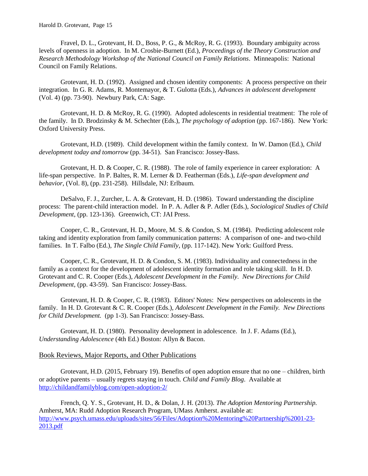Fravel, D. L., Grotevant, H. D., Boss, P. G., & McRoy, R. G. (1993). Boundary ambiguity across levels of openness in adoption. In M. Crosbie-Burnett (Ed.), *Proceedings of the Theory Construction and Research Methodology Workshop of the National Council on Family Relations*. Minneapolis: National Council on Family Relations.

Grotevant, H. D. (1992). Assigned and chosen identity components: A process perspective on their integration. In G. R. Adams, R. Montemayor, & T. Gulotta (Eds.), *Advances in adolescent development* (Vol. 4) (pp. 73-90). Newbury Park, CA: Sage.

Grotevant, H. D. & McRoy, R. G. (1990). Adopted adolescents in residential treatment: The role of the family. In D. Brodzinsky & M. Schechter (Eds.), *The psychology of adoption* (pp. 167-186). New York: Oxford University Press.

Grotevant, H.D. (1989). Child development within the family context. In W. Damon (Ed.), *Child development today and tomorrow* (pp. 34-51). San Francisco: Jossey-Bass.

Grotevant, H. D. & Cooper, C. R. (1988). The role of family experience in career exploration: A life-span perspective. In P. Baltes, R. M. Lerner & D. Featherman (Eds.), *Life-span development and behavior*, (Vol. 8), (pp. 231-258). Hillsdale, NJ: Erlbaum.

DeSalvo, F. J., Zurcher, L. A. & Grotevant, H. D. (1986). Toward understanding the discipline process: The parent-child interaction model. In P. A. Adler & P. Adler (Eds.), *Sociological Studies of Child Development*, (pp. 123-136). Greenwich, CT: JAI Press.

Cooper, C. R., Grotevant, H. D., Moore, M. S. & Condon, S. M. (1984). Predicting adolescent role taking and identity exploration from family communication patterns: A comparison of one- and two-child families. In T. Falbo (Ed.), *The Single Child Family*, (pp. 117-142). New York: Guilford Press.

Cooper, C. R., Grotevant, H. D. & Condon, S. M. (1983). Individuality and connectedness in the family as a context for the development of adolescent identity formation and role taking skill. In H. D. Grotevant and C. R. Cooper (Eds.), *Adolescent Development in the Family. New Directions for Child Development*, (pp. 43-59). San Francisco: Jossey-Bass.

Grotevant, H. D. & Cooper, C. R. (1983). Editors' Notes: New perspectives on adolescents in the family. In H. D. Grotevant & C. R. Cooper (Eds.), *Adolescent Development in the Family. New Directions for Child Development.* (pp 1-3). San Francisco: Jossey-Bass.

Grotevant, H. D. (1980). Personality development in adolescence. In J. F. Adams (Ed.), *Understanding Adolescence* (4th Ed.) Boston: Allyn & Bacon.

#### Book Reviews, Major Reports, and Other Publications

Grotevant, H.D. (2015, February 19). Benefits of open adoption ensure that no one – children, birth or adoptive parents – usually regrets staying in touch. *Child and Family Blog*. Available at <http://childandfamilyblog.com/open-adoption-2/>

French, Q. Y. S., Grotevant, H. D., & Dolan, J. H. (2013). *The Adoption Mentoring Partnership.*  Amherst, MA: Rudd Adoption Research Program, UMass Amherst. available at: [http://www.psych.umass.edu/uploads/sites/56/Files/Adoption%20Mentoring%20Partnership%2001-23-](http://www.psych.umass.edu/uploads/sites/56/Files/Adoption%20Mentoring%20Partnership%2001-23-2013.pdf) [2013.pdf](http://www.psych.umass.edu/uploads/sites/56/Files/Adoption%20Mentoring%20Partnership%2001-23-2013.pdf)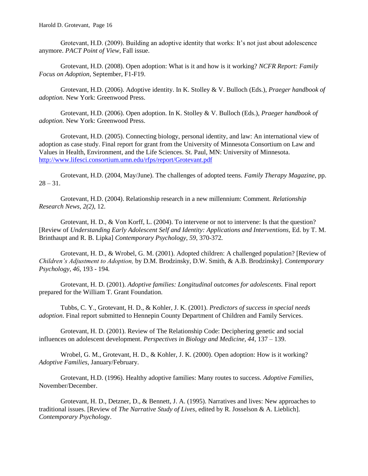Grotevant, H.D. (2009). Building an adoptive identity that works: It's not just about adolescence anymore. *PACT Point of View*, Fall issue.

Grotevant, H.D. (2008). Open adoption: What is it and how is it working? *NCFR Report: Family Focus on Adoption,* September, F1-F19.

Grotevant, H.D. (2006). Adoptive identity. In K. Stolley & V. Bulloch (Eds.), *Praeger handbook of adoption.* New York: Greenwood Press.

Grotevant, H.D. (2006). Open adoption. In K. Stolley & V. Bulloch (Eds.), *Praeger handbook of adoption.* New York: Greenwood Press.

Grotevant, H.D. (2005). Connecting biology, personal identity, and law: An international view of adoption as case study. Final report for grant from the University of Minnesota Consortium on Law and Values in Health, Environment, and the Life Sciences. St. Paul, MN: University of Minnesota. <http://www.lifesci.consortium.umn.edu/rfps/report/Grotevant.pdf>

Grotevant, H.D. (2004, May/June). The challenges of adopted teens. *Family Therapy Magazine*, pp.  $28 - 31$ .

Grotevant, H.D. (2004). Relationship research in a new millennium: Comment. *Relationship Research News, 2(2)*, 12.

Grotevant, H. D., & Von Korff, L. (2004). To intervene or not to intervene: Is that the question? [Review of *Understanding Early Adolescent Self and Identity: Applications and Interventions,* Ed. by T. M. Brinthaupt and R. B. Lipka] *Contemporary Psychology, 59,* 370-372*.*

Grotevant, H. D., & Wrobel, G. M. (2001). Adopted children: A challenged population? [Review of *Children's Adjustment to Adoption,* by D.M. Brodzinsky, D.W. Smith, & A.B. Brodzinsky]. *Contemporary Psychology, 46,* 193 - 194*.*

Grotevant, H. D. (2001). *Adoptive families: Longitudinal outcomes for adolescents.* Final report prepared for the William T. Grant Foundation.

Tubbs, C. Y., Grotevant, H. D., & Kohler, J. K. (2001). *Predictors of success in special needs adoption*. Final report submitted to Hennepin County Department of Children and Family Services.

Grotevant, H. D. (2001). Review of The Relationship Code: Deciphering genetic and social influences on adolescent development. *Perspectives in Biology and Medicine, 44*, 137 – 139.

Wrobel, G. M., Grotevant, H. D., & Kohler, J. K. (2000). Open adoption: How is it working? *Adoptive Families*, January/February.

Grotevant, H.D. (1996). Healthy adoptive families: Many routes to success. *Adoptive Families*, November/December.

Grotevant, H. D., Detzner, D., & Bennett, J. A. (1995). Narratives and lives: New approaches to traditional issues. [Review of *The Narrative Study of Lives*, edited by R. Josselson & A. Lieblich]. *Contemporary Psychology*.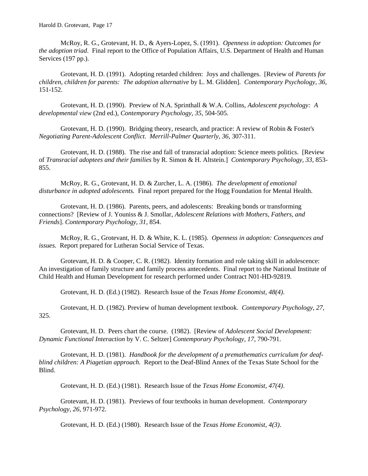McRoy, R. G., Grotevant, H. D., & Ayers-Lopez, S. (1991). *Openness in adoption: Outcomes for the adoption triad*. Final report to the Office of Population Affairs, U.S. Department of Health and Human Services (197 pp.).

Grotevant, H. D. (1991). Adopting retarded children: Joys and challenges. [Review of *Parents for children, children for parents: The adoption alternative* by L. M. Glidden]. *Contemporary Psychology*, *36*, 151-152.

Grotevant, H. D. (1990). Preview of N.A. Sprinthall & W.A. Collins, *Adolescent psychology: A developmental view* (2nd ed.), *Contemporary Psychology*, *35*, 504-505.

Grotevant, H. D. (1990). Bridging theory, research, and practice: A review of Robin & Foster's *Negotiating Parent-Adolescent Conflict. Merrill-Palmer Quarterly, 36*, 307-311.

Grotevant, H. D. (1988). The rise and fall of transracial adoption: Science meets politics. [Review of *Transracial adoptees and their families* by R. Simon & H. Altstein.] *Contemporary Psychology, 33,* 853- 855.

McRoy, R. G., Grotevant, H. D. & Zurcher, L. A. (1986). *The development of emotional disturbance in adopted adolescents.* Final report prepared for the Hogg Foundation for Mental Health.

Grotevant, H. D. (1986). Parents, peers, and adolescents: Breaking bonds or transforming connections? [Review of J. Youniss & J. Smollar, *Adolescent Relations with Mothers, Fathers, and Friends*]. *Contemporary Psychology, 31,* 854.

McRoy, R. G., Grotevant, H. D. & White, K. L. (1985). *Openness in adoption: Consequences and issues.* Report prepared for Lutheran Social Service of Texas.

Grotevant, H. D. & Cooper, C. R. (1982). Identity formation and role taking skill in adolescence: An investigation of family structure and family process antecedents. Final report to the National Institute of Child Health and Human Development for research performed under Contract N01-HD-92819.

Grotevant, H. D. (Ed.) (1982). Research Issue of the *Texas Home Economist, 48(4)*.

Grotevant, H. D. (1982). Preview of human development textbook. *Contemporary Psychology, 27*, 325.

Grotevant, H. D. Peers chart the course. (1982). [Review of *Adolescent Social Development: Dynamic Functional Interaction* by V. C. Seltzer] *Contemporary Psychology, 17*, 790-791.

Grotevant, H. D. (1981). *Handbook for the development of a premathematics curriculum for deafblind children: A Piagetian approach.* Report to the Deaf-Blind Annex of the Texas State School for the Blind.

Grotevant, H. D. (Ed.) (1981). Research Issue of the *Texas Home Economist, 47(4)*.

Grotevant, H. D. (1981). Previews of four textbooks in human development. *Contemporary Psychology, 26,* 971-972.

Grotevant, H. D. (Ed.) (1980). Research Issue of the *Texas Home Economist, 4(3)*.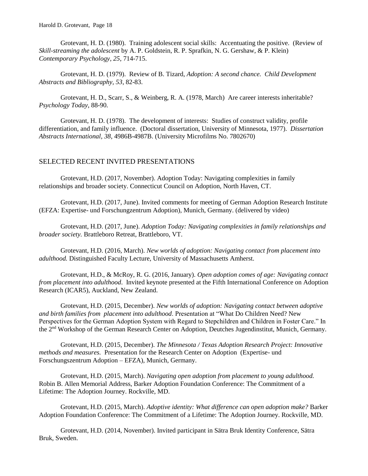Grotevant, H. D. (1980). Training adolescent social skills: Accentuating the positive. (Review of *Skill-streaming the adolescent* by A. P. Goldstein, R. P. Sprafkin, N. G. Gershaw, & P. Klein) *Contemporary Psychology, 25*, 714-715.

Grotevant, H. D. (1979). Review of B. Tizard, *Adoption: A second chance. Child Development Abstracts and Bibliography, 53*, 82-83.

Grotevant, H. D., Scarr, S., & Weinberg, R. A. (1978, March) Are career interests inheritable? *Psychology Today*, 88-90.

Grotevant, H. D. (1978). The development of interests: Studies of construct validity, profile differentiation, and family influence. (Doctoral dissertation, University of Minnesota, 1977). *Dissertation Abstracts International, 38*, 4986B-4987B. (University Microfilms No. 7802670)

#### SELECTED RECENT INVITED PRESENTATIONS

Grotevant, H.D. (2017, November). Adoption Today: Navigating complexities in family relationships and broader society. Connecticut Council on Adoption, North Haven, CT.

Grotevant, H.D. (2017, June). Invited comments for meeting of German Adoption Research Institute (EFZA: Expertise- und Forschungzentrum Adoption), Munich, Germany. (delivered by video)

Grotevant, H.D. (2017, June). *Adoption Today: Navigating complexities in family relationships and broader society.* Brattleboro Retreat, Brattleboro, VT.

Grotevant, H.D. (2016, March). *New worlds of adoption: Navigating contact from placement into adulthood.* Distinguished Faculty Lecture, University of Massachusetts Amherst.

Grotevant, H.D., & McRoy, R. G. (2016, January). *Open adoption comes of age: Navigating contact from placement into adulthood*. Invited keynote presented at the Fifth International Conference on Adoption Research (ICAR5), Auckland, New Zealand.

Grotevant, H.D. (2015, December). *New worlds of adoption: Navigating contact between adoptive and birth families from placement into adulthood*. Presentation at "What Do Children Need? New Perspectives for the German Adoption System with Regard to Stepchildren and Children in Foster Care." In the 2nd Workshop of the German Research Center on Adoption, Deutches Jugendinstitut, Munich, Germany.

Grotevant, H.D. (2015, December). *The Minnesota / Texas Adoption Research Project: Innovative methods and measures.* Presentation for the Research Center on Adoption (Expertise- und Forschungszentrum Adoption – EFZA), Munich, Germany.

Grotevant, H.D. (2015, March). *Navigating open adoption from placement to young adulthood.* Robin B. Allen Memorial Address, Barker Adoption Foundation Conference: The Commitment of a Lifetime: The Adoption Journey. Rockville, MD.

Grotevant, H.D. (2015, March). *Adoptive identity: What difference can open adoption make?* Barker Adoption Foundation Conference: The Commitment of a Lifetime: The Adoption Journey. Rockville, MD.

Grotevant, H.D. (2014, November). Invited participant in Sätra Bruk Identity Conference, Sätra Bruk, Sweden.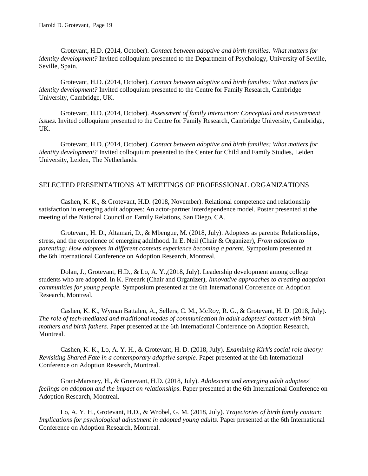Grotevant, H.D. (2014, October). *Contact between adoptive and birth families: What matters for identity development?* Invited colloquium presented to the Department of Psychology, University of Seville, Seville, Spain.

Grotevant, H.D. (2014, October). *Contact between adoptive and birth families: What matters for identity development?* Invited colloquium presented to the Centre for Family Research, Cambridge University, Cambridge, UK.

Grotevant, H.D. (2014, October). *Assessment of family interaction: Conceptual and measurement issues.* Invited colloquium presented to the Centre for Family Research, Cambridge University, Cambridge, UK.

Grotevant, H.D. (2014, October). *Contact between adoptive and birth families: What matters for identity development?* Invited colloquium presented to the Center for Child and Family Studies, Leiden University, Leiden, The Netherlands.

#### SELECTED PRESENTATIONS AT MEETINGS OF PROFESSIONAL ORGANIZATIONS

Cashen, K. K., & Grotevant, H.D. (2018, November). Relational competence and relationship satisfaction in emerging adult adoptees: An actor-partner interdependence model. Poster presented at the meeting of the National Council on Family Relations, San Diego, CA.

Grotevant, H. D., Altamari, D., & Mbengue, M. (2018, July). Adoptees as parents: Relationships, stress, and the experience of emerging adulthood. In E. Neil (Chair & Organizer), *From adoption to parenting: How adoptees in different contexts experience becoming a parent.* Symposium presented at the 6th International Conference on Adoption Research, Montreal.

Dolan, J., Grotevant, H.D., & Lo, A. Y.,(2018, July). Leadership development among college students who are adopted. In K. Freeark (Chair and Organizer), *Innovative approaches to creating adoption communities for young people.* Symposium presented at the 6th International Conference on Adoption Research, Montreal.

Cashen, K. K., Wyman Battalen, A., Sellers, C. M., McRoy, R. G., & Grotevant, H. D. (2018, July). *The role of tech-mediated and traditional modes of communication in adult adoptees' contact with birth mothers and birth fathers*. Paper presented at the 6th International Conference on Adoption Research, Montreal.

Cashen, K. K., Lo, A. Y. H., & Grotevant, H. D. (2018, July). *Examining Kirk's social role theory: Revisiting Shared Fate in a contemporary adoptive sample.* Paper presented at the 6th International Conference on Adoption Research, Montreal.

Grant-Marsney, H., & Grotevant, H.D. (2018, July). *Adolescent and emerging adult adoptees' feelings on adoption and the impact on relationships*. Paper presented at the 6th International Conference on Adoption Research, Montreal.

Lo, A. Y. H., Grotevant, H.D., & Wrobel, G. M. (2018, July). *Trajectories of birth family contact: Implications for psychological adjustment in adopted young adults*. Paper presented at the 6th International Conference on Adoption Research, Montreal.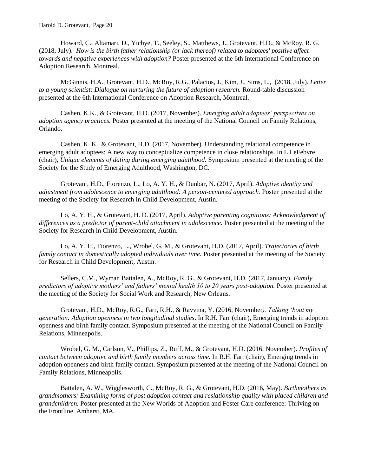Howard, C., Altamari, D., Yichye, T., Seeley, S., Matthews, J., Grotevant, H.D., & McRoy, R. G. (2018, July). *How is the birth father relationship (or lack thereof) related to adoptees' positive affect towards and negative experiences with adoption?* Poster presented at the 6th International Conference on Adoption Research, Montreal.

McGinnis, H.A., Grotevant, H.D., McRoy, R.G., Palacios, J., Kim, J., Sims, L., (2018, July). *Letter to a young scientist: Dialogue on nurturing the future of adoption research.* Round-table discussion presented at the 6th International Conference on Adoption Research, Montreal.

Cashen, K.K., & Grotevant, H.D. (2017, November). *Emerging adult adoptees' perspectives on adoption agency practices.* Poster presented at the meeting of the National Council on Family Relations, Orlando.

Cashen, K. K., & Grotevant, H.D. (2017, November). Understanding relational competence in emerging adult adoptees: A new way to conceptualize competence in close relationships. In L LeFebvre (chair), *Unique elements of dating during emerging adulthood.* Symposium presented at the meeting of the Society for the Study of Emerging Adulthood, Washington, DC.

Grotevant, H.D., Fiorenzo, L., Lo, A. Y. H., & Dunbar, N. (2017, April). *Adoptive identity and adjustment from adolescence to emerging adulthood: A person-centered approach.* Poster presented at the meeting of the Society for Research in Child Development, Austin.

Lo, A. Y. H., & Grotevant, H. D. (2017, April). *Adoptive parenting cognitions: Acknowledgment of differences as a predictor of parent-child attachment in adolescence.* Poster presented at the meeting of the Society for Research in Child Development, Austin.

Lo, A. Y. H., Fiorenzo, L., Wrobel, G. M., & Grotevant, H.D. (2017, April). *Trajectories of birth family contact in domestically adopted individuals over time.* Poster presented at the meeting of the Society for Research in Child Development, Austin.

Sellers, C.M., Wyman Battalen, A., McRoy, R. G., & Grotevant, H.D. (2017, January). *Family predictors of adoptive mothers' and fathers' mental health 10 to 20 years post-adoption.* Poster presented at the meeting of the Society for Social Work and Research, New Orleans.

Grotevant, H.D., McRoy, R.G., Farr, R.H., & Ravvina, Y. (2016, November*). Talking 'bout my generation: Adoption openness in two longitudinal studies*. In R.H. Farr (chair), Emerging trends in adoption openness and birth family contact. Symposium presented at the meeting of the National Council on Family Relations, Minneapolis.

Wrobel, G. M., Carlson, V., Phillips, Z., Ruff, M., & Grotevant, H.D. (2016, November). *Profiles of contact between adoptive and birth family members across time.* In R.H. Farr (chair), Emerging trends in adoption openness and birth family contact. Symposium presented at the meeting of the National Council on Family Relations, Minneapolis.

Battalen, A. W., Wigglesworth, C., McRoy, R. G., & Grotevant, H.D. (2016, May). *Birthmothers as grandmothers: Examining forms of post adoption contact and reslationship quality with placed children and grandchildren.* Poster presented at the New Worlds of Adoption and Foster Care conference: Thriving on the Frontline. Amherst, MA.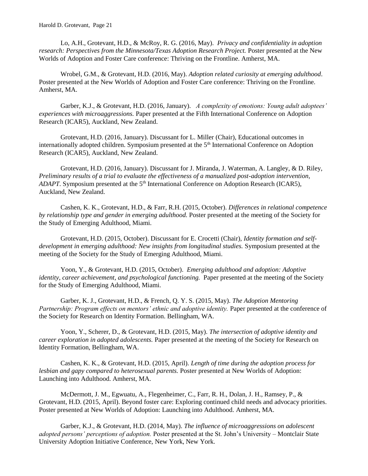Lo, A.H., Grotevant, H.D., & McRoy, R. G. (2016, May). *Privacy and confidentiality in adoption research: Perspectives from the Minnesota/Texas Adoption Research Project.* Poster presented at the New Worlds of Adoption and Foster Care conference: Thriving on the Frontline. Amherst, MA.

Wrobel, G.M., & Grotevant, H.D. (2016, May). *Adoption related curiosity at emerging adulthood*. Poster presented at the New Worlds of Adoption and Foster Care conference: Thriving on the Frontline. Amherst, MA.

Garber, K.J., & Grotevant, H.D. (2016, January). *A complexity of emotions: Young adult adoptees' experiences with microaggressions.* Paper presented at the Fifth International Conference on Adoption Research (ICAR5), Auckland, New Zealand.

Grotevant, H.D. (2016, January). Discussant for L. Miller (Chair), Educational outcomes in internationally adopted children. Symposium presented at the 5<sup>th</sup> International Conference on Adoption Research (ICAR5), Auckland, New Zealand.

Grotevant, H.D. (2016, January). Discussant for J. Miranda, J. Waterman, A. Langley, & D. Riley, *Preliminary results of a trial to evaluate the effectiveness of a manualized post-adoption intervention, ADAPT.* Symposium presented at the 5<sup>th</sup> International Conference on Adoption Research (ICAR5), Auckland, New Zealand.

Cashen, K. K., Grotevant, H.D., & Farr, R.H. (2015, October). *Differences in relational competence by relationship type and gender in emerging adulthood.* Poster presented at the meeting of the Society for the Study of Emerging Adulthood, Miami.

Grotevant, H.D. (2015, October). Discussant for E. Crocetti (Chair), *Identity formation and selfdevelopment in emerging adulthood: New insights from longitudinal studies.* Symposium presented at the meeting of the Society for the Study of Emerging Adulthood, Miami.

Yoon, Y., & Grotevant, H.D. (2015, October). *Emerging adulthood and adoption: Adoptive identity, career achievement, and psychological functioning.* Paper presented at the meeting of the Society for the Study of Emerging Adulthood, Miami.

Garber, K. J., Grotevant, H.D., & French, Q. Y. S. (2015, May). *The Adoption Mentoring Partnership: Program effects on mentors' ethnic and adoptive identity.* Paper presented at the conference of the Society for Research on Identity Formation. Bellingham, WA.

Yoon, Y., Scherer, D., & Grotevant, H.D. (2015, May). *The intersection of adoptive identity and career exploration in adopted adolescents.* Paper presented at the meeting of the Society for Research on Identity Formation, Bellingham, WA.

Cashen, K. K., & Grotevant, H.D. (2015, April). *Length of time during the adoption process for lesbian and gapy compared to heterosexual parents.* Poster presented at New Worlds of Adoption: Launching into Adulthood. Amherst, MA.

McDermott, J. M., Egwuatu, A., Flegenheimer, C., Farr, R. H., Dolan, J. H., Ramsey, P., & Grotevant, H.D. (2015, April). Beyond foster care: Exploring continued child needs and advocacy priorities. Poster presented at New Worlds of Adoption: Launching into Adulthood. Amherst, MA.

Garber, K.J., & Grotevant, H.D. (2014, May). *The influence of microaggressions on adolescent adopted persons' perceptions of adoption.* Poster presented at the St. John's University – Montclair State University Adoption Initiative Conference, New York, New York.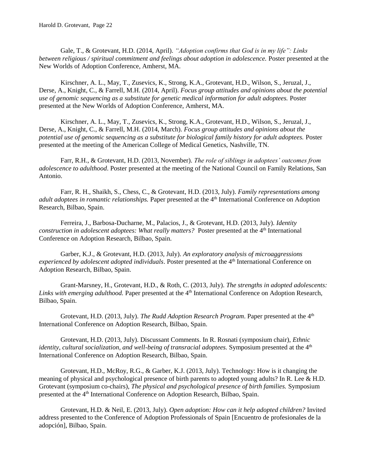Gale, T., & Grotevant, H.D. (2014, April). *"Adoption confirms that God is in my life": Links between religious / spiritual commitment and feelings about adoption in adolescence.* Poster presented at the New Worlds of Adoption Conference, Amherst, MA.

Kirschner, A. L., May, T., Zusevics, K., Strong, K.A., Grotevant, H.D., Wilson, S., Jeruzal, J., Derse, A., Knight, C., & Farrell, M.H. (2014, April). *Focus group attitudes and opinions about the potential use of genomic sequencing as a substitute for genetic medical information for adult adoptees.* Poster presented at the New Worlds of Adoption Conference, Amherst, MA.

Kirschner, A. L., May, T., Zusevics, K., Strong, K.A., Grotevant, H.D., Wilson, S., Jeruzal, J., Derse, A., Knight, C., & Farrell, M.H. (2014, March). *Focus group attitudes and opinions about the potential use of genomic sequencing as a substitute for biological family history for adult adoptees.* Poster presented at the meeting of the American College of Medical Genetics, Nashville, TN.

Farr, R.H., & Grotevant, H.D. (2013, November). *The role of siblings in adoptees' outcomes from adolescence to adulthood*. Poster presented at the meeting of the National Council on Family Relations, San Antonio.

Farr, R. H., Shaikh, S., Chess, C., & Grotevant, H.D. (2013, July). *Family representations among adult adoptees in romantic relationships.* Paper presented at the 4th International Conference on Adoption Research, Bilbao, Spain.

Ferreira, J., Barbosa-Ducharne, M., Palacios, J., & Grotevant, H.D. (2013, July). *Identity construction in adolescent adoptees: What really matters?* Poster presented at the 4<sup>th</sup> International Conference on Adoption Research, Bilbao, Spain.

Garber, K.J., & Grotevant, H.D. (2013, July). *An exploratory analysis of microaggressions experienced by adolescent adopted individuals*. Poster presented at the 4th International Conference on Adoption Research, Bilbao, Spain.

Grant-Marsney, H., Grotevant, H.D., & Roth, C. (2013, July). *The strengths in adopted adolescents: Links with emerging adulthood.* Paper presented at the 4<sup>th</sup> International Conference on Adoption Research, Bilbao, Spain.

Grotevant, H.D. (2013, July). *The Rudd Adoption Research Program*. Paper presented at the 4<sup>th</sup> International Conference on Adoption Research, Bilbao, Spain.

Grotevant, H.D. (2013, July). Discussant Comments. In R. Rosnati (symposium chair), *Ethnic identity, cultural socialization, and well-being of transracial adoptees.* Symposium presented at the 4<sup>th</sup> International Conference on Adoption Research, Bilbao, Spain.

Grotevant, H.D., McRoy, R.G., & Garber, K.J. (2013, July). Technology: How is it changing the meaning of physical and psychological presence of birth parents to adopted young adults? In R. Lee & H.D. Grotevant (symposium co-chairs), *The physical and psychological presence of birth families.* Symposium presented at the 4th International Conference on Adoption Research, Bilbao, Spain.

Grotevant, H.D. & Neil, E. (2013, July). *Open adoption: How can it help adopted children?* Invited address presented to the Conference of Adoption Professionals of Spain [Encuentro de profesionales de la adopción], Bilbao, Spain.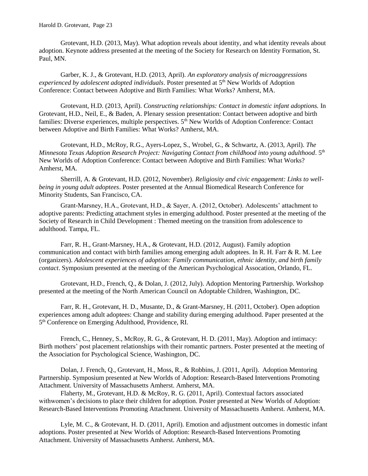#### Harold D. Grotevant, Page 23

Grotevant, H.D. (2013, May). What adoption reveals about identity, and what identity reveals about adoption. Keynote address presented at the meeting of the Society for Research on Identity Formation, St. Paul, MN.

Garber, K. J., & Grotevant, H.D. (2013, April). *An exploratory analysis of microaggressions experienced by adolescent adopted individuals*. Poster presented at 5th New Worlds of Adoption Conference: Contact between Adoptive and Birth Families: What Works? Amherst, MA.

Grotevant, H.D. (2013, April). *Constructing relationships: Contact in domestic infant adoptions.* In Grotevant, H.D., Neil, E., & Baden, A. Plenary session presentation: Contact between adoptive and birth families: Diverse experiences, multiple perspectives. 5<sup>th</sup> New Worlds of Adoption Conference: Contact between Adoptive and Birth Families: What Works? Amherst, MA.

Grotevant, H.D., McRoy, R.G., Ayers-Lopez, S., Wrobel, G., & Schwartz, A. (2013, April). *The Minnesota Texas Adoption Research Project: Navigating Contact from childhood into young adulthood*. 5th New Worlds of Adoption Conference: Contact between Adoptive and Birth Families: What Works? Amherst, MA.

Sherrill, A. & Grotevant, H.D. (2012, November). *Religiosity and civic engagement: Links to wellbeing in young adult adoptees*. Poster presented at the Annual Biomedical Research Conference for Minority Students, San Francisco, CA.

Grant-Marsney, H.A., Grotevant, H.D., & Sayer, A. (2012, October). Adolescents' attachment to adoptive parents: Predicting attachment styles in emerging adulthood. Poster presented at the meeting of the Society of Research in Child Development : Themed meeting on the transition from adolescence to adulthood. Tampa, FL.

Farr, R. H., Grant-Marsney, H.A., & Grotevant, H.D. (2012, August). Family adoption communication and contact with birth families among emerging adult adoptees. In R. H. Farr & R. M. Lee (organizers). *Adolescent experiences of adoption: Family communication, ethnic identity, and birth family contact*. Symposium presented at the meeting of the American Psychological Assocation, Orlando, FL.

Grotevant, H.D., French, Q., & Dolan, J. (2012, July). Adoption Mentoring Partnership. Workshop presented at the meeting of the North American Council on Adoptable Children, Washington, DC.

Farr, R. H., Grotevant, H. D., Musante, D., & Grant-Marsney, H. (2011, October). Open adoption experiences among adult adoptees: Change and stability during emerging adulthood. Paper presented at the 5<sup>th</sup> Conference on Emerging Adulthood, Providence, RI.

French, C., Henney, S., McRoy, R. G., & Grotevant, H. D. (2011, May). Adoption and intimacy: Birth mothers' post placement relationships with their romantic partners. Poster presented at the meeting of the Association for Psychological Science, Washington, DC.

Dolan, J. French, Q., Grotevant, H., Moss, R., & Robbins, J. (2011, April). Adoption Mentoring Partnership. Symposium presented at New Worlds of Adoption: Research-Based Interventions Promoting Attachment. University of Massachusetts Amherst. Amherst, MA.

Flaherty, M., Grotevant, H.D. & McRoy, R. G. (2011, April). Contextual factors associated withwomen's decisions to place their children for adoption. Poster presented at New Worlds of Adoption: Research-Based Interventions Promoting Attachment. University of Massachusetts Amherst. Amherst, MA.

Lyle, M. C., & Grotevant, H. D. (2011, April). Emotion and adjustment outcomes in domestic infant adoptions. Poster presented at New Worlds of Adoption: Research-Based Interventions Promoting Attachment. University of Massachusetts Amherst. Amherst, MA.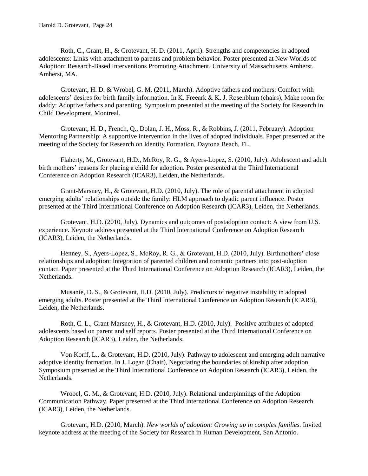Roth, C., Grant, H., & Grotevant, H. D. (2011, April). Strengths and competencies in adopted adolescents: Links with attachment to parents and problem behavior. Poster presented at New Worlds of Adoption: Research-Based Interventions Promoting Attachment. University of Massachusetts Amherst. Amherst, MA.

Grotevant, H. D. & Wrobel, G. M. (2011, March). Adoptive fathers and mothers: Comfort with adolescents' desires for birth family information. In K. Freeark & K. J. Rosenblum (chairs), Make room for daddy: Adoptive fathers and parenting. Symposium presented at the meeting of the Society for Research in Child Development, Montreal.

Grotevant, H. D., French, Q., Dolan, J. H., Moss, R., & Robbins, J. (2011, February). Adoption Mentoring Partnership: A supportive intervention in the lives of adopted individuals. Paper presented at the meeting of the Society for Research on Identity Formation, Daytona Beach, FL.

Flaherty, M., Grotevant, H.D., McRoy, R. G., & Ayers-Lopez, S. (2010, July). Adolescent and adult birth mothers' reasons for placing a child for adoption. Poster presented at the Third International Conference on Adoption Research (ICAR3), Leiden, the Netherlands.

Grant-Marsney, H., & Grotevant, H.D. (2010, July). The role of parental attachment in adopted emerging adults' relationships outside the family: HLM approach to dyadic parent influence. Poster presented at the Third International Conference on Adoption Research (ICAR3), Leiden, the Netherlands.

Grotevant, H.D. (2010, July). Dynamics and outcomes of postadoption contact: A view from U.S. experience. Keynote address presented at the Third International Conference on Adoption Research (ICAR3), Leiden, the Netherlands.

Henney, S., Ayers-Lopez, S., McRoy, R. G., & Grotevant, H.D. (2010, July). Birthmothers' close relationships and adoption: Integration of parented children and romantic partners into post-adoption contact. Paper presented at the Third International Conference on Adoption Research (ICAR3), Leiden, the Netherlands.

Musante, D. S., & Grotevant, H.D. (2010, July). Predictors of negative instability in adopted emerging adults. Poster presented at the Third International Conference on Adoption Research (ICAR3), Leiden, the Netherlands.

Roth, C. L., Grant-Marsney, H., & Grotevant, H.D. (2010, July). Positive attributes of adopted adolescents based on parent and self reports. Poster presented at the Third International Conference on Adoption Research (ICAR3), Leiden, the Netherlands.

Von Korff, L., & Grotevant, H.D. (2010, July). Pathway to adolescent and emerging adult narrative adoptive identity formation. In J. Logan (Chair), Negotiating the boundaries of kinship after adoption. Symposium presented at the Third International Conference on Adoption Research (ICAR3), Leiden, the Netherlands.

Wrobel, G. M., & Grotevant, H.D. (2010, July). Relational underpinnings of the Adoption Communication Pathway. Paper presented at the Third International Conference on Adoption Research (ICAR3), Leiden, the Netherlands.

Grotevant, H.D. (2010, March). *New worlds of adoption: Growing up in complex families.* Invited keynote address at the meeting of the Society for Research in Human Development, San Antonio.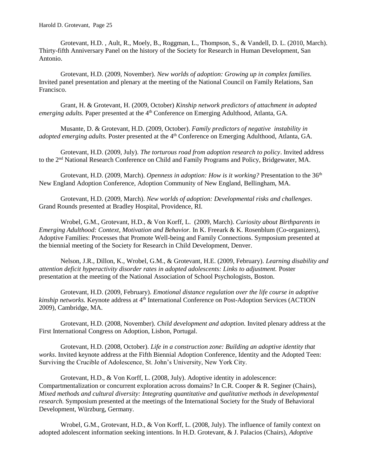Grotevant, H.D. , Ault, R., Moely, B., Roggman, L., Thompson, S., & Vandell, D. L. (2010, March). Thirty-fifth Anniversary Panel on the history of the Society for Research in Human Development, San Antonio.

Grotevant, H.D. (2009, November). *New worlds of adoption: Growing up in complex families.* Invited panel presentation and plenary at the meeting of the National Council on Family Relations, San Francisco.

Grant, H. & Grotevant, H. (2009, October) *Kinship network predictors of attachment in adopted emerging adults.* Paper presented at the 4<sup>th</sup> Conference on Emerging Adulthood, Atlanta, GA.

Musante, D. & Grotevant, H.D. (2009, October). *Family predictors of negative instability in adopted emerging adults.* Poster presented at the 4<sup>th</sup> Conference on Emerging Adulthood, Atlanta, GA.

Grotevant, H.D. (2009, July). *The torturous road from adoption research to policy*. Invited address to the 2nd National Research Conference on Child and Family Programs and Policy, Bridgewater, MA.

Grotevant, H.D. (2009, March). *Openness in adoption: How is it working?* Presentation to the 36<sup>th</sup> New England Adoption Conference, Adoption Community of New England, Bellingham, MA.

Grotevant, H.D. (2009, March). *New worlds of adoption: Developmental risks and challenges*. Grand Rounds presented at Bradley Hospital, Providence, RI.

Wrobel, G.M., Grotevant, H.D., & Von Korff, L. (2009, March). *Curiosity about Birthparents in Emerging Adulthood: Context, Motivation and Behavior.* In K. Freeark & K. Rosenblum (Co-organizers), Adoptive Families: Processes that Promote Well-being and Family Connections. Symposium presented at the biennial meeting of the Society for Research in Child Development, Denver.

Nelson, J.R., Dillon, K., Wrobel, G.M., & Grotevant, H.E. (2009, February). *Learning disability and attention deficit hyperactivity disorder rates in adopted adolescents: Links to adjustment.* Poster presentation at the meeting of the National Association of School Psychologists, Boston.

Grotevant, H.D. (2009, February). *Emotional distance regulation over the life course in adoptive kinship networks.* Keynote address at 4th International Conference on Post-Adoption Services (ACTION 2009), Cambridge, MA.

Grotevant, H.D. (2008, November). *Child development and adoption.* Invited plenary address at the First International Congress on Adoption, Lisbon, Portugal.

Grotevant, H.D. (2008, October). *Life in a construction zone: Building an adoptive identity that works*. Invited keynote address at the Fifth Biennial Adoption Conference, Identity and the Adopted Teen: Surviving the Crucible of Adolescence, St. John's University, New York City.

Grotevant, H.D., & Von Korff, L. (2008, July). Adoptive identity in adolescence: Compartmentalization or concurrent exploration across domains? In C.R. Cooper & R. Seginer (Chairs), *Mixed methods and cultural diversity: Integrating quantitative and qualitative methods in developmental research.* Symposium presented at the meetings of the International Society for the Study of Behavioral Development, Würzburg, Germany.

Wrobel, G.M., Grotevant, H.D., & Von Korff, L. (2008, July). The influence of family context on adopted adolescent information seeking intentions. In H.D. Grotevant, & J. Palacios (Chairs), *Adoptive*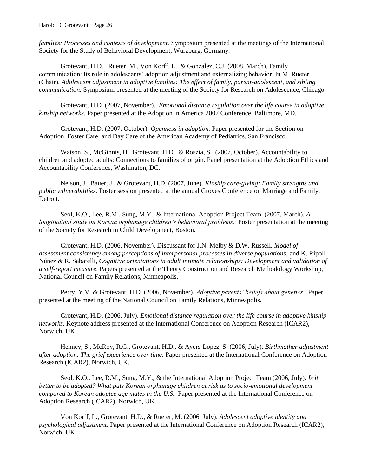*families: Processes and contexts of development.* Symposium presented at the meetings of the International Society for the Study of Behavioral Development, Würzburg, Germany.

Grotevant, H.D., Rueter, M., Von Korff, L., & Gonzalez, C.J. (2008, March). Family communication: Its role in adolescents' adoption adjustment and externalizing behavior. In M. Rueter (Chair), *Adolescent adjustment in adoptive families: The effect of family, parent-adolescent, and sibling communication.* Symposium presented at the meeting of the Society for Research on Adolescence, Chicago.

Grotevant, H.D. (2007, November). *Emotional distance regulation over the life course in adoptive kinship networks.* Paper presented at the Adoption in America 2007 Conference, Baltimore, MD.

Grotevant, H.D. (2007, October). *Openness in adoption.* Paper presented for the Section on Adoption, Foster Care, and Day Care of the American Academy of Pediatrics, San Francisco.

Watson, S., McGinnis, H., Grotevant, H.D., & Roszia, S. (2007, October). Accountability to children and adopted adults: Connections to families of origin. Panel presentation at the Adoption Ethics and Accountability Conference, Washington, DC.

Nelson, J., Bauer, J., & Grotevant, H.D. (2007, June). *Kinship care-giving: Family strengths and public vulnerabilities.* Poster session presented at the annual Groves Conference on Marriage and Family, Detroit.

Seol, K.O., Lee, R.M., Sung, M.Y., & International Adoption Project Team (2007, March). *A longitudinal study on Korean orphanage children's behavioral problems.* Poster presentation at the meeting of the Society for Research in Child Development, Boston.

Grotevant, H.D. (2006, November). Discussant for J.N. Melby & D.W. Russell, *Model of assessment consistency among perceptions of interpersonal processes in diverse populations*; and K. Ripoll-Núñez & R. Sabatelli, *Cognitive orientations in adult intimate relationships: Development and validation of a self-report measure*. Papers presented at the Theory Construction and Research Methodology Workshop, National Council on Family Relations, Minneapolis.

Perry, Y.V. & Grotevant, H.D. (2006, November). *Adoptive parents' beliefs about genetics.* Paper presented at the meeting of the National Council on Family Relations, Minneapolis.

Grotevant, H.D. (2006, July). *Emotional distance regulation over the life course in adoptive kinship networks.* Keynote address presented at the International Conference on Adoption Research (ICAR2), Norwich, UK.

Henney, S., McRoy, R.G., Grotevant, H.D., & Ayers-Lopez, S. (2006, July). *Birthmother adjustment after adoption: The grief experience over time.* Paper presented at the International Conference on Adoption Research (ICAR2), Norwich, UK.

Seol, K.O., Lee, R.M., Sung, M.Y., & the International Adoption Project Team (2006, July). *Is it better to be adopted? What puts Korean orphanage children at risk as to socio-emotional development compared to Korean adoptee age mates in the U.S.* Paper presented at the International Conference on Adoption Research (ICAR2), Norwich, UK.

Von Korff, L., Grotevant, H.D., & Rueter, M. (2006, July). *Adolescent adoptive identity and psychological adjustment*. Paper presented at the International Conference on Adoption Research (ICAR2), Norwich, UK.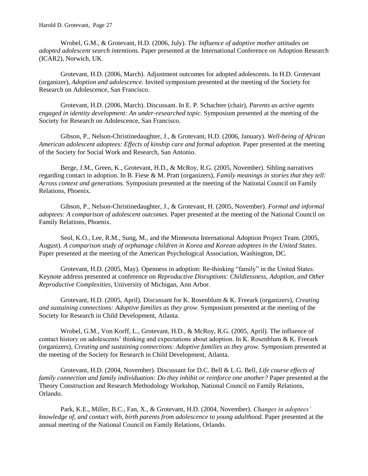Wrobel, G.M., & Grotevant, H.D. (2006, July). *The influence of adoptive mother attitudes on adopted adolescent search intentions.* Paper presented at the International Conference on Adoption Research (ICAR2), Norwich, UK.

Grotevant, H.D. (2006, March). Adjustment outcomes for adopted adolescents. In H.D. Grotevant (organizer), *Adoption and adolescence.* Invited symposium presented at the meeting of the Society for Research on Adolescence, San Francisco.

Grotevant, H.D. (2006, March). Discussant. In E. P. Schachter (chair), *Parents as active agents engaged in identity development: An under-researched topic.* Symposium presented at the meeting of the Society for Research on Adolescence, San Francisco.

Gibson, P., Nelson-Christinedaughter, J., & Grotevant, H.D. (2006, January). *Well-being of African American adolescent adoptees: Effects of kinship care and formal adoption.* Paper presented at the meeting of the Society for Social Work and Research, San Antonio.

Berge, J.M., Green, K., Grotevant, H.D., & McRoy, R.G. (2005, November). Sibling narratives regarding contact in adoption. In B. Fiese & M. Pratt (organizers), *Family meanings in stories that they tell: Across context and generations.* Symposium presented at the meeting of the National Council on Family Relations, Phoenix.

Gibson, P., Nelson-Christinedaughter, J., & Grotevant, H. (2005, November). *Formal and informal adoptees: A comparison of adolescent outcomes.* Paper presented at the meeting of the National Council on Family Relations, Phoenix.

Seol, K.O., Lee, R.M., Sung, M., and the Minnesota International Adoption Project Team. (2005, August). *A comparison study of orphanage children in Korea and Korean adoptees in the United States*. Paper presented at the meeting of the American Psychological Association, Washington, DC.

Grotevant, H.D. (2005, May). Openness in adoption: Re-thinking "family" in the United States. Keynote address presented at conference on *Reproductive Disruptions: Childlessness, Adoption, and Other Reproductive Complexities*, University of Michigan, Ann Arbor.

Grotevant, H.D. (2005, April). Discussant for K. Rosenblum & K. Freeark (organizers), *Creating and sustaining connections: Adoptive families as they grow.* Symposium presented at the meeting of the Society for Research in Child Development, Atlanta.

Wrobel, G.M., Von Korff, L., Grotevant, H.D., & McRoy, R.G. (2005, April). The influence of contact history on adolescents' thinking and expectations about adoption. In K. Rosenblum & K. Freeark (organizers), *Creating and sustaining connections: Adoptive families as they grow.* Symposium presented at the meeting of the Society for Research in Child Development, Atlanta.

Grotevant, H.D. (2004, November). Discussant for D.C. Bell & L.G. Bell, *Life course effects of family connection and family individuation: Do they inhibit or reinforce one another?* Paper presented at the Theory Construction and Research Methodology Workshop, National Council on Family Relations, Orlando.

Park, K.E., Miller, B.C., Fan, X., & Grotevant, H.D. (2004, November). *Changes in adoptees' knowledge of, and contact with, birth parents from adolescence to young adulthood.* Paper presented at the annual meeting of the National Council on Family Relations, Orlando.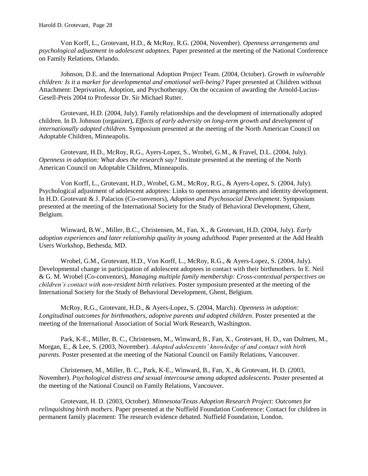Von Korff, L., Grotevant, H.D., & McRoy, R.G. (2004, November). *Openness arrangements and psychological adjustment in adolescent adoptees.* Paper presented at the meeting of the National Conference on Family Relations, Orlando.

Johnson, D.E. and the International Adoption Project Team. (2004, October). *Growth in vulnerable children: Is it a marker for developmental and emotional well-being?* Paper presented at Children without Attachment: Deprivation, Adoption, and Psychotherapy. On the occasion of awarding the Arnold-Lucius-Gesell-Preis 2004 to Professor Dr. Sir Michael Rutter.

Grotevant, H.D. (2004, July). Family relationships and the development of internationally adopted children. In D. Johnson (organizer), *Effects of early adversity on long-term growth and development of internationally adopted children*. Symposium presented at the meeting of the North American Council on Adoptable Children, Minneapolis.

Grotevant, H.D., McRoy, R.G., Ayers-Lopez, S., Wrobel, G.M., & Fravel, D.L. (2004, July). *Openness in adoption: What does the research say?* Institute presented at the meeting of the North American Council on Adoptable Children, Minneapolis.

Von Korff, L., Grotevant, H.D., Wrobel, G.M., McRoy, R.G., & Ayers-Lopez, S. (2004, July). Psychological adjustment of adolescent adoptees: Links to openness arrangements and identity development. In H.D. Grotevant & J. Palacios (Co-convenors), *Adoption and Psychosocial Development*. Symposium presented at the meeting of the International Society for the Study of Behavioral Development, Ghent, Belgium.

Winward, B.W., Miller, B.C., Christensen, M., Fan, X., & Grotevant, H.D. (2004, July). *Early adoption experiences and later relationship quality in young adulthood.* Paper presented at the Add Health Users Workshop, Bethesda, MD.

Wrobel, G.M., Grotevant, H.D., Von Korff, L., McRoy, R.G., & Ayers-Lopez, S. (2004, July). Developmental change in participation of adolescent adoptees in contact with their birthmothers. In E. Neil & G. M. Wrobel (Co-convenors), *Managing multiple family membership: Cross-contextual perspectives on children's contact with non-resident birth relatives*. Poster symposium presented at the meeting of the International Society for the Study of Behavioral Development, Ghent, Belgium.

McRoy, R.G., Grotevant, H.D., & Ayers-Lopez, S. (2004, March). *Openness in adoption: Longitudinal outcomes for birthmothers, adoptive parents and adopted children*. Poster presented at the meeting of the International Association of Social Work Research, Washington.

Park, K-E., Miller, B. C., Christensen, M., Winward, B., Fan, X., Grotevant, H. D., van Dulmen, M., Morgan, E., & Lee, S. (2003, November). *Adopted adolescents' knowledge of and contact with birth parents*. Poster presented at the meeting of the National Council on Family Relations, Vancouver.

Christensen, M., Miller, B. C., Park, K-E., Winward, B., Fan, X., & Grotevant, H. D. (2003, November). *Psychological distress and sexual intercourse among adopted adolescents.* Poster presented at the meeting of the National Council on Family Relations, Vancouver.

Grotevant, H. D. (2003, October). *Minnesota/Texas Adoption Research Project: Outcomes for relinquishing birth mothers*. Paper presented at the Nuffield Foundation Conference: Contact for children in permanent family placement: The research evidence debated. Nuffield Foundation, London.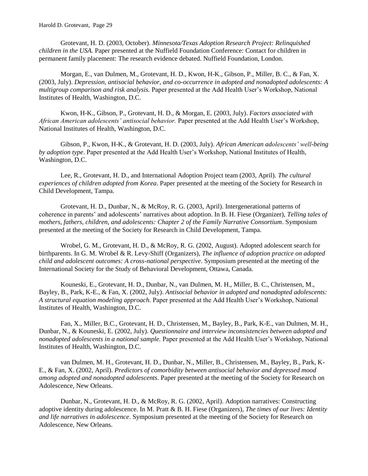Grotevant, H. D. (2003, October). *Minnesota/Texas Adoption Research Project: Relinquished children in the USA.* Paper presented at the Nuffield Foundation Conference: Contact for children in permanent family placement: The research evidence debated. Nuffield Foundation, London.

Morgan, E., van Dulmen, M., Grotevant, H. D., Kwon, H-K., Gibson, P., Miller, B. C., & Fan, X. (2003, July). *Depression, antisocial behavior, and co-occurrence in adopted and nonadopted adolescents: A multigroup comparison and risk analysis.* Paper presented at the Add Health User's Workshop, National Institutes of Health, Washington, D.C.

Kwon, H-K., Gibson, P., Grotevant, H. D., & Morgan, E. (2003, July). *Factors associated with African American adolescents' antisocial behavior.* Paper presented at the Add Health User's Workshop, National Institutes of Health, Washington, D.C.

Gibson, P., Kwon, H-K., & Grotevant, H. D. (2003, July). *African American adolescents' well-being by adoption type*. Paper presented at the Add Health User's Workshop, National Institutes of Health, Washington, D.C.

Lee, R., Grotevant, H. D., and International Adoption Project team (2003, April). *The cultural experiences of children adopted from Korea*. Paper presented at the meeting of the Society for Research in Child Development, Tampa.

Grotevant, H. D., Dunbar, N., & McRoy, R. G. (2003, April). Intergenerational patterns of coherence in parents' and adolescents' narratives about adoption. In B. H. Fiese (Organizer), *Telling tales of mothers, fathers, children, and adolescents: Chapter 2 of the Family Narrative Consortium*. Symposium presented at the meeting of the Society for Research in Child Development, Tampa.

Wrobel, G. M., Grotevant, H. D., & McRoy, R. G. (2002, August). Adopted adolescent search for birthparents. In G. M. Wrobel & R. Levy-Shiff (Organizers), *The influence of adoption practice on adopted child and adolescent outcomes: A cross-national perspective*. Symposium presented at the meeting of the International Society for the Study of Behavioral Development, Ottawa, Canada.

Kouneski, E., Grotevant, H. D., Dunbar, N., van Dulmen, M. H., Miller, B. C., Christensen, M., Bayley, B., Park, K-E., & Fan, X. (2002, July). *Antisocial behavior in adopted and nonadopted adolescents: A structural equation modeling approach.* Paper presented at the Add Health User's Workshop, National Institutes of Health, Washington, D.C.

Fan, X., Miller, B.C., Grotevant, H. D., Christensen, M., Bayley, B., Park, K-E., van Dulmen, M. H., Dunbar, N., & Kouneski, E. (2002, July). *Questionnaire and interview inconsistencies between adopted and nonadopted adolescents in a national sample.* Paper presented at the Add Health User's Workshop, National Institutes of Health, Washington, D.C.

van Dulmen, M. H., Grotevant, H. D., Dunbar, N., Miller, B., Christensen, M., Bayley, B., Park, K-E., & Fan, X. (2002, April). *Predictors of comorbidity between antisocial behavior and depressed mood among adopted and nonadopted adolescents*. Paper presented at the meeting of the Society for Research on Adolescence, New Orleans.

Dunbar, N., Grotevant, H. D., & McRoy, R. G. (2002, April). Adoption narratives: Constructing adoptive identity during adolescence. In M. Pratt & B. H. Fiese (Organizers), *The times of our lives: Identity and life narratives in adolescence*. Symposium presented at the meeting of the Society for Research on Adolescence, New Orleans.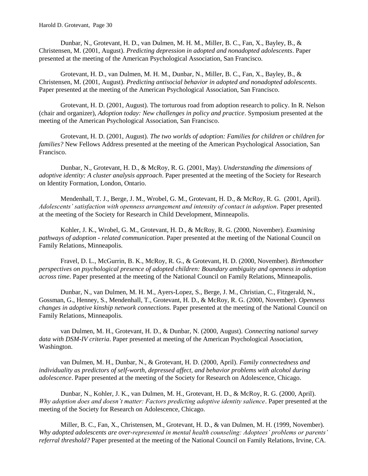Dunbar, N., Grotevant, H. D., van Dulmen, M. H. M., Miller, B. C., Fan, X., Bayley, B., & Christensen, M. (2001, August). *Predicting depression in adopted and nonadopted adolescents*. Paper presented at the meeting of the American Psychological Association, San Francisco.

Grotevant, H. D., van Dulmen, M. H. M., Dunbar, N., Miller, B. C., Fan, X., Bayley, B., & Christensen, M. (2001, August). *Predicting antisocial behavior in adopted and nonadopted adolescents*. Paper presented at the meeting of the American Psychological Association, San Francisco.

Grotevant, H. D. (2001, August). The torturous road from adoption research to policy. In R. Nelson (chair and organizer), *Adoption today: New challenges in policy and practice*. Symposium presented at the meeting of the American Psychological Association, San Francisco.

Grotevant, H. D. (2001, August). *The two worlds of adoption: Families for children or children for families?* New Fellows Address presented at the meeting of the American Psychological Association, San Francisco.

Dunbar, N., Grotevant, H. D., & McRoy, R. G. (2001, May). *Understanding the dimensions of adoptive identity: A cluster analysis approach*. Paper presented at the meeting of the Society for Research on Identity Formation, London, Ontario.

Mendenhall, T. J., Berge, J. M., Wrobel, G. M., Grotevant, H. D., & McRoy, R. G. (2001, April). *Adolescents' satisfaction with openness arrangement and intensity of contact in adoption*. Paper presented at the meeting of the Society for Research in Child Development, Minneapolis.

Kohler, J. K., Wrobel, G. M., Grotevant, H. D., & McRoy, R. G. (2000, November). *Examining pathways of adoption - related communication*. Paper presented at the meeting of the National Council on Family Relations, Minneapolis.

Fravel, D. L., McGurrin, B. K., McRoy, R. G., & Grotevant, H. D. (2000, November). *Birthmother perspectives on psychological presence of adopted children: Boundary ambiguity and openness in adoption across time*. Paper presented at the meeting of the National Council on Family Relations, Minneapolis.

Dunbar, N., van Dulmen, M. H. M., Ayers-Lopez, S., Berge, J. M., Christian, C., Fitzgerald, N., Gossman, G., Henney, S., Mendenhall, T., Grotevant, H. D., & McRoy, R. G. (2000, November). *Openness changes in adoptive kinship network connections.* Paper presented at the meeting of the National Council on Family Relations, Minneapolis.

van Dulmen, M. H., Grotevant, H. D., & Dunbar, N. (2000, August). *Connecting national survey data with DSM-IV criteria*. Paper presented at meeting of the American Psychological Association, Washington.

van Dulmen, M. H., Dunbar, N., & Grotevant, H. D. (2000, April). *Family connectedness and individuality as predictors of self-worth, depressed affect, and behavior problems with alcohol during adolescence*. Paper presented at the meeting of the Society for Research on Adolescence, Chicago.

Dunbar, N., Kohler, J. K., van Dulmen, M. H., Grotevant, H. D., & McRoy, R. G. (2000, April). *Why adoption does and doesn't matter: Factors predicting adoptive identity salience*. Paper presented at the meeting of the Society for Research on Adolescence, Chicago.

Miller, B. C., Fan, X., Christensen, M., Grotevant, H. D., & van Dulmen, M. H. (1999, November). *Why adopted adolescents are over-represented in mental health counseling: Adoptees' problems or parents' referral threshold?* Paper presented at the meeting of the National Council on Family Relations, Irvine, CA.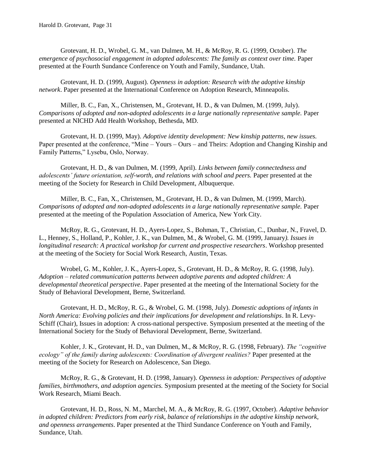Grotevant, H. D., Wrobel, G. M., van Dulmen, M. H., & McRoy, R. G. (1999, October). *The emergence of psychosocial engagement in adopted adolescents: The family as context over time.* Paper presented at the Fourth Sundance Conference on Youth and Family, Sundance, Utah.

Grotevant, H. D. (1999, August). *Openness in adoption: Research with the adoptive kinship network*. Paper presented at the International Conference on Adoption Research, Minneapolis.

Miller, B. C., Fan, X., Christensen, M., Grotevant, H. D., & van Dulmen, M. (1999, July). *Comparisons of adopted and non-adopted adolescents in a large nationally representative sample.* Paper presented at NICHD Add Health Workshop, Bethesda, MD*.*

Grotevant, H. D. (1999, May). *Adoptive identity development: New kinship patterns, new issues.* Paper presented at the conference, "Mine – Yours – Ours – and Theirs: Adoption and Changing Kinship and Family Patterns," Lysebu, Oslo, Norway.

Grotevant, H. D., & van Dulmen, M. (1999, April). *Links between family connectedness and adolescents' future orientation, self-worth, and relations with school and peers.* Paper presented at the meeting of the Society for Research in Child Development, Albuquerque.

Miller, B. C., Fan, X., Christensen, M., Grotevant, H. D., & van Dulmen, M. (1999, March). *Comparisons of adopted and non-adopted adolescents in a large nationally representative sample.* Paper presented at the meeting of the Population Association of America, New York City.

McRoy, R. G., Grotevant, H. D., Ayers-Lopez, S., Bohman, T., Christian, C., Dunbar, N., Fravel, D. L., Henney, S., Holland, P., Kohler, J. K., van Dulmen, M., & Wrobel, G. M. (1999, January*). Issues in longitudinal research: A practical workshop for current and prospective researchers*. Workshop presented at the meeting of the Society for Social Work Research, Austin, Texas.

Wrobel, G. M., Kohler, J. K., Ayers-Lopez, S., Grotevant, H. D., & McRoy, R. G. (1998, July). *Adoption – related communication patterns between adoptive parents and adopted children: A developmental theoretical perspective*. Paper presented at the meeting of the International Society for the Study of Behavioral Development, Berne, Switzerland.

Grotevant, H. D., McRoy, R. G., & Wrobel, G. M. (1998, July). *Domestic adoptions of infants in North America: Evolving policies and their implications for development and relationships*. In R. Levy-Schiff (Chair), Issues in adoption: A cross-national perspective. Symposium presented at the meeting of the International Society for the Study of Behavioral Development, Berne, Switzerland.

Kohler, J. K., Grotevant, H. D., van Dulmen, M., & McRoy, R. G. (1998, February). *The "cognitive ecology" of the family during adolescents: Coordination of divergent realities?* Paper presented at the meeting of the Society for Research on Adolescence, San Diego.

McRoy, R. G., & Grotevant, H. D. (1998, January). *Openness in adoption: Perspectives of adoptive families, birthmothers, and adoption agencies.* Symposium presented at the meeting of the Society for Social Work Research, Miami Beach.

Grotevant, H. D., Ross, N. M., Marchel, M. A., & McRoy, R. G. (1997, October). *Adaptive behavior in adopted children: Predictors from early risk, balance of relationships in the adoptive kinship network, and openness arrangements*. Paper presented at the Third Sundance Conference on Youth and Family, Sundance, Utah.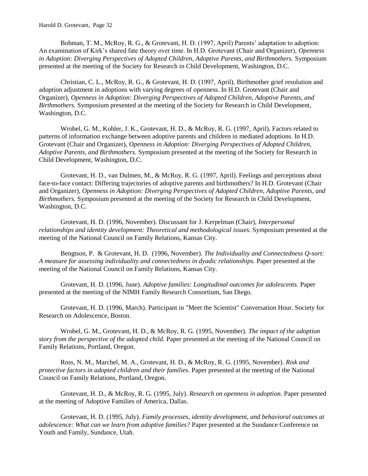Bohman, T. M., McRoy, R. G., & Grotevant, H. D. (1997, April) Parents' adaptation to adoption: An examination of Kirk's shared fate theory over time. In H.D. Grotevant (Chair and Organizer), *Openness in Adoption: Diverging Perspectives of Adopted Children, Adoptive Parents, and Birthmothers.* Symposium presented at the meeting of the Society for Research in Child Development, Washington, D.C.

Christian, C. L., McRoy, R. G., & Grotevant, H. D. (1997, April). Birthmother grief resolution and adoption adjustment in adoptions with varying degrees of openness. In H.D. Grotevant (Chair and Organizer), *Openness in Adoption: Diverging Perspectives of Adopted Children, Adoptive Parents, and Birthmothers.* Symposium presented at the meeting of the Society for Research in Child Development, Washington, D.C.

Wrobel, G. M., Kohler, J. K., Grotevant, H. D., & McRoy, R. G. (1997, April). Factors related to patterns of information exchange between adoptive parents and children in mediated adoptions. In H.D. Grotevant (Chair and Organizer), *Openness in Adoption: Diverging Perspectives of Adopted Children, Adoptive Parents, and Birthmothers.* Symposium presented at the meeting of the Society for Research in Child Development, Washington, D.C.

Grotevant, H. D., van Dulmen, M., & McRoy, R. G. (1997, April). Feelings and perceptions about face-to-face contact: Differing trajectories of adoptive parents and birthmothers? In H.D. Grotevant (Chair and Organizer), *Openness in Adoption: Diverging Perspectives of Adopted Children, Adoptive Parents, and Birthmothers.* Symposium presented at the meeting of the Society for Research in Child Development, Washington, D.C.

Grotevant, H. D. (1996, November). Discussant for J. Kerpelman (Chair), *Interpersonal relationships and identity development: Theoretical and methodological issues.* Symposium presented at the meeting of the National Council on Family Relations, Kansas City.

Bengtson, P. & Grotevant, H. D. (1996, November). *The Individuality and Connectedness Q-sort: A measure for assessing individuality and connectedness in dyadic relationships.* Paper presented at the meeting of the National Council on Family Relations, Kansas City.

Grotevant, H. D. (1996, June). *Adoptive families: Longitudinal outcomes for adolescents.* Paper presented at the meeting of the NIMH Family Research Consortium, San Diego.

Grotevant, H. D. (1996, March). Participant in "Meet the Scientist" Conversation Hour. Society for Research on Adolescence, Boston.

Wrobel, G. M., Grotevant, H. D., & McRoy, R. G. (1995, November). *The impact of the adoption story from the perspective of the adopted child.* Paper presented at the meeting of the National Council on Family Relations, Portland, Oregon.

Ross, N. M., Marchel, M. A., Grotevant, H. D., & McRoy, R. G. (1995, November). *Risk and protective factors in adopted children and their families*. Paper presented at the meeting of the National Council on Family Relations, Portland, Oregon.

Grotevant, H. D., & McRoy, R. G. (1995, July). *Research on openness in adoption.* Paper presented at the meeting of Adoptive Families of America, Dallas.

Grotevant, H. D. (1995, July). *Family processes, identity development, and behavioral outcomes at adolescence: What can we learn from adoptive families?* Paper presented at the Sundance Conference on Youth and Family, Sundance, Utah.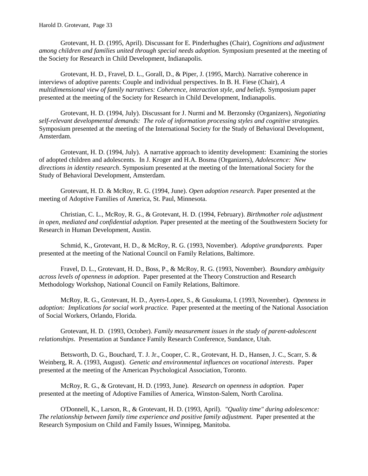Grotevant, H. D. (1995, April). Discussant for E. Pinderhughes (Chair), *Cognitions and adjustment among children and families united through special needs adoption.* Symposium presented at the meeting of the Society for Research in Child Development, Indianapolis.

Grotevant, H. D., Fravel, D. L., Gorall, D., & Piper, J. (1995, March). Narrative coherence in interviews of adoptive parents: Couple and individual perspectives. In B. H. Fiese (Chair), *A multidimensional view of family narratives: Coherence, interaction style, and beliefs.* Symposium paper presented at the meeting of the Society for Research in Child Development, Indianapolis.

Grotevant, H. D. (1994, July). Discussant for J. Nurmi and M. Berzonsky (Organizers), *Negotiating self-relevant developmental demands: The role of information processing styles and cognitive strategies.*  Symposium presented at the meeting of the International Society for the Study of Behavioral Development, Amsterdam.

Grotevant, H. D. (1994, July). A narrative approach to identity development: Examining the stories of adopted children and adolescents. In J. Kroger and H.A. Bosma (Organizers), *Adolescence: New directions in identity research*. Symposium presented at the meeting of the International Society for the Study of Behavioral Development, Amsterdam.

Grotevant, H. D. & McRoy, R. G. (1994, June). *Open adoption research.* Paper presented at the meeting of Adoptive Families of America, St. Paul, Minnesota.

Christian, C. L., McRoy, R. G., & Grotevant, H. D. (1994, February). *Birthmother role adjustment in open, mediated and confidential adoption.* Paper presented at the meeting of the Southwestern Society for Research in Human Development, Austin.

Schmid, K., Grotevant, H. D., & McRoy, R. G. (1993, November). *Adoptive grandparents.* Paper presented at the meeting of the National Council on Family Relations, Baltimore.

Fravel, D. L., Grotevant, H. D., Boss, P., & McRoy, R. G. (1993, November). *Boundary ambiguity across levels of openness in adoption*. Paper presented at the Theory Construction and Research Methodology Workshop, National Council on Family Relations, Baltimore.

McRoy, R. G., Grotevant, H. D., Ayers-Lopez, S., & Gusukuma, I. (1993, November). *Openness in adoption: Implications for social work practice.* Paper presented at the meeting of the National Association of Social Workers, Orlando, Florida.

Grotevant, H. D. (1993, October). *Family measurement issues in the study of parent-adolescent relationships*. Presentation at Sundance Family Research Conference, Sundance, Utah.

Betsworth, D. G., Bouchard, T. J. Jr., Cooper, C. R., Grotevant, H. D., Hansen, J. C., Scarr, S. & Weinberg, R. A. (1993, August). *Genetic and environmental influences on vocational interests*. Paper presented at the meeting of the American Psychological Association, Toronto.

McRoy, R. G., & Grotevant, H. D. (1993, June). *Research on openness in adoption.* Paper presented at the meeting of Adoptive Families of America, Winston-Salem, North Carolina.

O'Donnell, K., Larson, R., & Grotevant, H. D. (1993, April). *"Quality time" during adolescence: The relationship between family time experience and positive family adjustment.* Paper presented at the Research Symposium on Child and Family Issues, Winnipeg, Manitoba.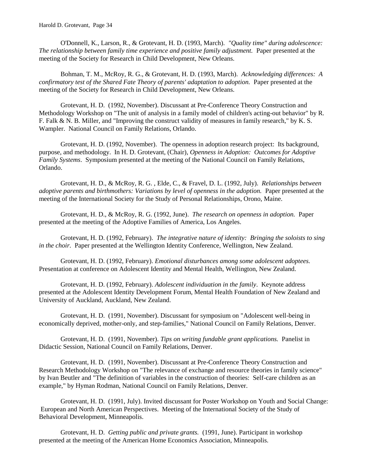O'Donnell, K., Larson, R., & Grotevant, H. D. (1993, March). *"Quality time" during adolescence: The relationship between family time experience and positive family adjustment.* Paper presented at the meeting of the Society for Research in Child Development, New Orleans.

Bohman, T. M., McRoy, R. G., & Grotevant, H. D. (1993, March). *Acknowledging differences: A confirmatory test of the Shared Fate Theory of parents' adaptation to adoption.* Paper presented at the meeting of the Society for Research in Child Development, New Orleans.

Grotevant, H. D. (1992, November). Discussant at Pre-Conference Theory Construction and Methodology Workshop on "The unit of analysis in a family model of children's acting-out behavior" by R. F. Falk & N. B. Miller, and "Improving the construct validity of measures in family research," by K. S. Wampler. National Council on Family Relations, Orlando.

Grotevant, H. D. (1992, November). The openness in adoption research project: Its background, purpose, and methodology. In H. D. Grotevant, (Chair), *Openness in Adoption: Outcomes for Adoptive Family Systems*. Symposium presented at the meeting of the National Council on Family Relations, Orlando.

Grotevant, H. D., & McRoy, R. G. , Elde, C., & Fravel, D. L. (1992, July). *Relationships between adoptive parents and birthmothers: Variations by level of openness in the adoption.* Paper presented at the meeting of the International Society for the Study of Personal Relationships, Orono, Maine.

Grotevant, H. D., & McRoy, R. G. (1992, June). *The research on openness in adoption.* Paper presented at the meeting of the Adoptive Families of America, Los Angeles.

Grotevant, H. D. (1992, February). *The integrative nature of identity: Bringing the soloists to sing in the choir.* Paper presented at the Wellington Identity Conference, Wellington, New Zealand.

Grotevant, H. D. (1992, February). *Emotional disturbances among some adolescent adoptees.* Presentation at conference on Adolescent Identity and Mental Health, Wellington, New Zealand.

Grotevant, H. D. (1992, February). *Adolescent individuation in the family*. Keynote address presented at the Adolescent Identity Development Forum, Mental Health Foundation of New Zealand and University of Auckland, Auckland, New Zealand.

Grotevant, H. D. (1991, November). Discussant for symposium on "Adolescent well-being in economically deprived, mother-only, and step-families," National Council on Family Relations, Denver.

Grotevant, H. D. (1991, November). *Tips on writing fundable grant applications.* Panelist in Didactic Session, National Council on Family Relations, Denver.

Grotevant, H. D. (1991, November). Discussant at Pre-Conference Theory Construction and Research Methodology Workshop on "The relevance of exchange and resource theories in family science" by Ivan Beutler and "The definition of variables in the construction of theories: Self-care children as an example," by Hyman Rodman, National Council on Family Relations, Denver.

Grotevant, H. D. (1991, July). Invited discussant for Poster Workshop on Youth and Social Change: European and North American Perspectives. Meeting of the International Society of the Study of Behavioral Development, Minneapolis.

Grotevant, H. D. *Getting public and private grants.* (1991, June). Participant in workshop presented at the meeting of the American Home Economics Association, Minneapolis.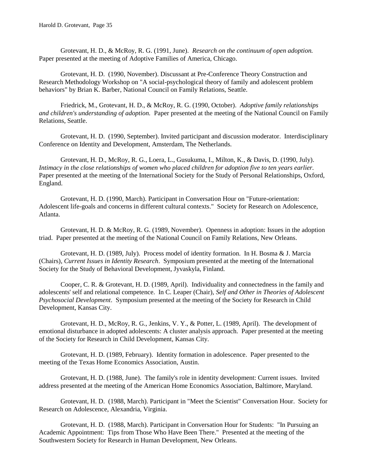Grotevant, H. D., & McRoy, R. G. (1991, June). *Research on the continuum of open adoption.* Paper presented at the meeting of Adoptive Families of America, Chicago.

Grotevant, H. D. (1990, November). Discussant at Pre-Conference Theory Construction and Research Methodology Workshop on "A social-psychological theory of family and adolescent problem behaviors" by Brian K. Barber, National Council on Family Relations, Seattle.

Friedrick, M., Grotevant, H. D., & McRoy, R. G. (1990, October). *Adoptive family relationships and children's understanding of adoption.* Paper presented at the meeting of the National Council on Family Relations, Seattle.

Grotevant, H. D. (1990, September). Invited participant and discussion moderator. Interdisciplinary Conference on Identity and Development, Amsterdam, The Netherlands.

Grotevant, H. D., McRoy, R. G., Loera, L., Gusukuma, I., Milton, K., & Davis, D. (1990, July). *Intimacy in the close relationships of women who placed children for adoption five to ten years earlier.*  Paper presented at the meeting of the International Society for the Study of Personal Relationships, Oxford, England.

Grotevant, H. D. (1990, March). Participant in Conversation Hour on "Future-orientation: Adolescent life-goals and concerns in different cultural contexts." Society for Research on Adolescence, Atlanta.

Grotevant, H. D. & McRoy, R. G. (1989, November). Openness in adoption: Issues in the adoption triad. Paper presented at the meeting of the National Council on Family Relations, New Orleans.

Grotevant, H. D. (1989, July). Process model of identity formation. In H. Bosma & J. Marcia (Chairs), *Current Issues in Identity Research*. Symposium presented at the meeting of the International Society for the Study of Behavioral Development, Jyvaskyla, Finland.

Cooper, C. R. & Grotevant, H. D. (1989, April). Individuality and connectedness in the family and adolescents' self and relational competence. In C. Leaper (Chair), *Self and Other in Theories of Adolescent Psychosocial Development*. Symposium presented at the meeting of the Society for Research in Child Development, Kansas City.

Grotevant, H. D., McRoy, R. G., Jenkins, V. Y., & Potter, L. (1989, April). The development of emotional disturbance in adopted adolescents: A cluster analysis approach. Paper presented at the meeting of the Society for Research in Child Development, Kansas City.

Grotevant, H. D. (1989, February). Identity formation in adolescence. Paper presented to the meeting of the Texas Home Economics Association, Austin.

Grotevant, H. D. (1988, June). The family's role in identity development: Current issues. Invited address presented at the meeting of the American Home Economics Association, Baltimore, Maryland.

Grotevant, H. D. (1988, March). Participant in "Meet the Scientist" Conversation Hour. Society for Research on Adolescence, Alexandria, Virginia.

Grotevant, H. D. (1988, March). Participant in Conversation Hour for Students: "In Pursuing an Academic Appointment: Tips from Those Who Have Been There." Presented at the meeting of the Southwestern Society for Research in Human Development, New Orleans.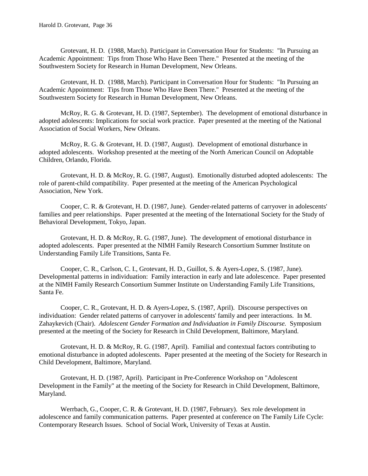Grotevant, H. D. (1988, March). Participant in Conversation Hour for Students: "In Pursuing an Academic Appointment: Tips from Those Who Have Been There." Presented at the meeting of the Southwestern Society for Research in Human Development, New Orleans.

Grotevant, H. D. (1988, March). Participant in Conversation Hour for Students: "In Pursuing an Academic Appointment: Tips from Those Who Have Been There." Presented at the meeting of the Southwestern Society for Research in Human Development, New Orleans.

McRoy, R. G. & Grotevant, H. D. (1987, September). The development of emotional disturbance in adopted adolescents: Implications for social work practice. Paper presented at the meeting of the National Association of Social Workers, New Orleans.

McRoy, R. G. & Grotevant, H. D. (1987, August). Development of emotional disturbance in adopted adolescents. Workshop presented at the meeting of the North American Council on Adoptable Children, Orlando, Florida.

Grotevant, H. D. & McRoy, R. G. (1987, August). Emotionally disturbed adopted adolescents: The role of parent-child compatibility. Paper presented at the meeting of the American Psychological Association, New York.

Cooper, C. R. & Grotevant, H. D. (1987, June). Gender-related patterns of carryover in adolescents' families and peer relationships. Paper presented at the meeting of the International Society for the Study of Behavioral Development, Tokyo, Japan.

Grotevant, H. D. & McRoy, R. G. (1987, June). The development of emotional disturbance in adopted adolescents. Paper presented at the NIMH Family Research Consortium Summer Institute on Understanding Family Life Transitions, Santa Fe.

Cooper, C. R., Carlson, C. I., Grotevant, H. D., Guillot, S. & Ayers-Lopez, S. (1987, June). Developmental patterns in individuation: Family interaction in early and late adolescence. Paper presented at the NIMH Family Research Consortium Summer Institute on Understanding Family Life Transitions, Santa Fe.

Cooper, C. R., Grotevant, H. D. & Ayers-Lopez, S. (1987, April). Discourse perspectives on individuation: Gender related patterns of carryover in adolescents' family and peer interactions. In M. Zahaykevich (Chair). *Adolescent Gender Formation and Individuation in Family Discourse.* Symposium presented at the meeting of the Society for Research in Child Development, Baltimore, Maryland.

Grotevant, H. D. & McRoy, R. G. (1987, April). Familial and contextual factors contributing to emotional disturbance in adopted adolescents. Paper presented at the meeting of the Society for Research in Child Development, Baltimore, Maryland.

Grotevant, H. D. (1987, April). Participant in Pre-Conference Workshop on "Adolescent Development in the Family" at the meeting of the Society for Research in Child Development, Baltimore, Maryland.

Werrbach, G., Cooper, C. R. & Grotevant, H. D. (1987, February). Sex role development in adolescence and family communication patterns. Paper presented at conference on The Family Life Cycle: Contemporary Research Issues. School of Social Work, University of Texas at Austin.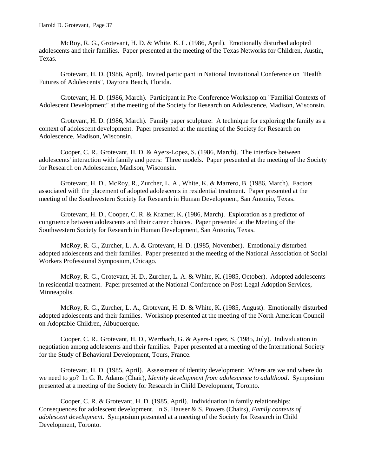McRoy, R. G., Grotevant, H. D. & White, K. L. (1986, April). Emotionally disturbed adopted adolescents and their families. Paper presented at the meeting of the Texas Networks for Children, Austin, Texas.

Grotevant, H. D. (1986, April). Invited participant in National Invitational Conference on "Health Futures of Adolescents", Daytona Beach, Florida.

Grotevant, H. D. (1986, March). Participant in Pre-Conference Workshop on "Familial Contexts of Adolescent Development" at the meeting of the Society for Research on Adolescence, Madison, Wisconsin.

Grotevant, H. D. (1986, March). Family paper sculpture: A technique for exploring the family as a context of adolescent development. Paper presented at the meeting of the Society for Research on Adolescence, Madison, Wisconsin.

Cooper, C. R., Grotevant, H. D. & Ayers-Lopez, S. (1986, March). The interface between adolescents' interaction with family and peers: Three models. Paper presented at the meeting of the Society for Research on Adolescence, Madison, Wisconsin.

Grotevant, H. D., McRoy, R., Zurcher, L. A., White, K. & Marrero, B. (1986, March). Factors associated with the placement of adopted adolescents in residential treatment. Paper presented at the meeting of the Southwestern Society for Research in Human Development, San Antonio, Texas.

Grotevant, H. D., Cooper, C. R. & Kramer, K. (1986, March). Exploration as a predictor of congruence between adolescents and their career choices. Paper presented at the Meeting of the Southwestern Society for Research in Human Development, San Antonio, Texas.

McRoy, R. G., Zurcher, L. A. & Grotevant, H. D. (1985, November). Emotionally disturbed adopted adolescents and their families. Paper presented at the meeting of the National Association of Social Workers Professional Symposium, Chicago.

McRoy, R. G., Grotevant, H. D., Zurcher, L. A. & White, K. (1985, October). Adopted adolescents in residential treatment. Paper presented at the National Conference on Post-Legal Adoption Services, Minneapolis.

McRoy, R. G., Zurcher, L. A., Grotevant, H. D. & White, K. (1985, August). Emotionally disturbed adopted adolescents and their families. Workshop presented at the meeting of the North American Council on Adoptable Children, Albuquerque.

Cooper, C. R., Grotevant, H. D., Werrbach, G. & Ayers-Lopez, S. (1985, July). Individuation in negotiation among adolescents and their families. Paper presented at a meeting of the International Society for the Study of Behavioral Development, Tours, France.

Grotevant, H. D. (1985, April). Assessment of identity development: Where are we and where do we need to go? In G. R. Adams (Chair), *Identity development from adolescence to adulthood*. Symposium presented at a meeting of the Society for Research in Child Development, Toronto.

Cooper, C. R. & Grotevant, H. D. (1985, April). Individuation in family relationships: Consequences for adolescent development. In S. Hauser & S. Powers (Chairs), *Family contexts of adolescent development*. Symposium presented at a meeting of the Society for Research in Child Development, Toronto.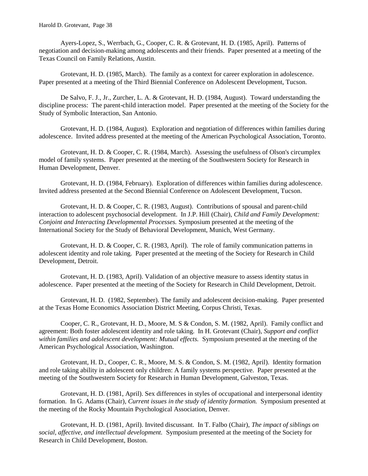Ayers-Lopez, S., Werrbach, G., Cooper, C. R. & Grotevant, H. D. (1985, April). Patterns of negotiation and decision-making among adolescents and their friends. Paper presented at a meeting of the Texas Council on Family Relations, Austin.

Grotevant, H. D. (1985, March). The family as a context for career exploration in adolescence. Paper presented at a meeting of the Third Biennial Conference on Adolescent Development, Tucson.

De Salvo, F. J., Jr., Zurcher, L. A. & Grotevant, H. D. (1984, August). Toward understanding the discipline process: The parent-child interaction model. Paper presented at the meeting of the Society for the Study of Symbolic Interaction, San Antonio.

Grotevant, H. D. (1984, August). Exploration and negotiation of differences within families during adolescence. Invited address presented at the meeting of the American Psychological Association, Toronto.

Grotevant, H. D. & Cooper, C. R. (1984, March). Assessing the usefulness of Olson's circumplex model of family systems. Paper presented at the meeting of the Southwestern Society for Research in Human Development, Denver.

Grotevant, H. D. (1984, February). Exploration of differences within families during adolescence. Invited address presented at the Second Biennial Conference on Adolescent Development, Tucson.

Grotevant, H. D. & Cooper, C. R. (1983, August). Contributions of spousal and parent-child interaction to adolescent psychosocial development. In J.P. Hill (Chair), *Child and Family Development: Conjoint and Interacting Developmental Processes.* Symposium presented at the meeting of the International Society for the Study of Behavioral Development, Munich, West Germany.

Grotevant, H. D. & Cooper, C. R. (1983, April). The role of family communication patterns in adolescent identity and role taking. Paper presented at the meeting of the Society for Research in Child Development, Detroit.

Grotevant, H. D. (1983, April). Validation of an objective measure to assess identity status in adolescence. Paper presented at the meeting of the Society for Research in Child Development, Detroit.

Grotevant, H. D. (1982, September). The family and adolescent decision-making. Paper presented at the Texas Home Economics Association District Meeting, Corpus Christi, Texas.

Cooper, C. R., Grotevant, H. D., Moore, M. S & Condon, S. M. (1982, April). Family conflict and agreement: Both foster adolescent identity and role taking. In H. Grotevant (Chair), *Support and conflict within families and adolescent development: Mutual effects.* Symposium presented at the meeting of the American Psychological Association, Washington.

Grotevant, H. D., Cooper, C. R., Moore, M. S. & Condon, S. M. (1982, April). Identity formation and role taking ability in adolescent only children: A family systems perspective. Paper presented at the meeting of the Southwestern Society for Research in Human Development, Galveston, Texas.

Grotevant, H. D. (1981, April). Sex differences in styles of occupational and interpersonal identity formation. In G. Adams (Chair), *Current issues in the study of identity formation.* Symposium presented at the meeting of the Rocky Mountain Psychological Association, Denver.

Grotevant, H. D. (1981, April). Invited discussant. In T. Falbo (Chair), *The impact of siblings on social, affective, and intellectual development.* Symposium presented at the meeting of the Society for Research in Child Development, Boston.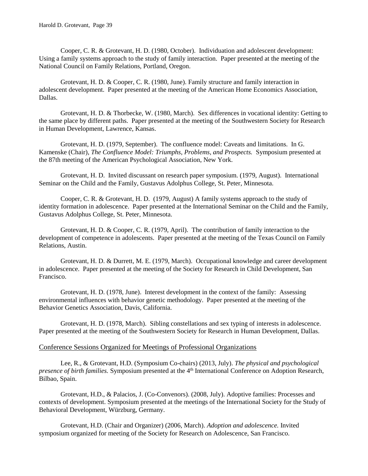Cooper, C. R. & Grotevant, H. D. (1980, October). Individuation and adolescent development: Using a family systems approach to the study of family interaction. Paper presented at the meeting of the National Council on Family Relations, Portland, Oregon.

Grotevant, H. D. & Cooper, C. R. (1980, June). Family structure and family interaction in adolescent development. Paper presented at the meeting of the American Home Economics Association, Dallas.

Grotevant, H. D. & Thorbecke, W. (1980, March). Sex differences in vocational identity: Getting to the same place by different paths. Paper presented at the meeting of the Southwestern Society for Research in Human Development, Lawrence, Kansas.

Grotevant, H. D. (1979, September). The confluence model: Caveats and limitations. In G. Kamenske (Chair), *The Confluence Model: Triumphs, Problems, and Prospects.* Symposium presented at the 87th meeting of the American Psychological Association, New York.

Grotevant, H. D. Invited discussant on research paper symposium. (1979, August). International Seminar on the Child and the Family, Gustavus Adolphus College, St. Peter, Minnesota.

Cooper, C. R. & Grotevant, H. D. (1979, August) A family systems approach to the study of identity formation in adolescence. Paper presented at the International Seminar on the Child and the Family, Gustavus Adolphus College, St. Peter, Minnesota.

Grotevant, H. D. & Cooper, C. R. (1979, April). The contribution of family interaction to the development of competence in adolescents. Paper presented at the meeting of the Texas Council on Family Relations, Austin.

Grotevant, H. D. & Durrett, M. E. (1979, March). Occupational knowledge and career development in adolescence. Paper presented at the meeting of the Society for Research in Child Development, San Francisco.

Grotevant, H. D. (1978, June). Interest development in the context of the family: Assessing environmental influences with behavior genetic methodology. Paper presented at the meeting of the Behavior Genetics Association, Davis, California.

Grotevant, H. D. (1978, March). Sibling constellations and sex typing of interests in adolescence. Paper presented at the meeting of the Southwestern Society for Research in Human Development, Dallas.

#### Conference Sessions Organized for Meetings of Professional Organizations

Lee, R., & Grotevant, H.D. (Symposium Co-chairs) (2013, July). *The physical and psychological presence of birth families.* Symposium presented at the 4<sup>th</sup> International Conference on Adoption Research, Bilbao, Spain.

Grotevant, H.D., & Palacios, J. (Co-Convenors). (2008, July). Adoptive families: Processes and contexts of development. Symposium presented at the meetings of the International Society for the Study of Behavioral Development, Würzburg, Germany.

Grotevant, H.D. (Chair and Organizer) (2006, March). *Adoption and adolescence.* Invited symposium organized for meeting of the Society for Research on Adolescence, San Francisco.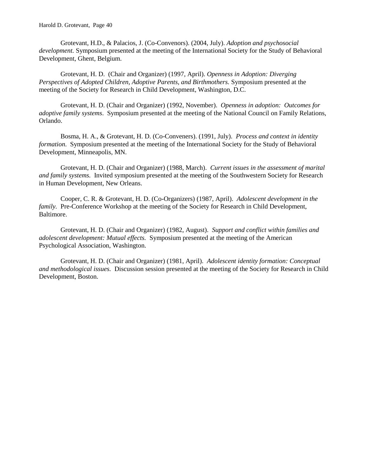Grotevant, H.D., & Palacios, J. (Co-Convenors). (2004, July). *Adoption and psychosocial development.* Symposium presented at the meeting of the International Society for the Study of Behavioral Development, Ghent, Belgium.

Grotevant, H. D. (Chair and Organizer) (1997, April). *Openness in Adoption: Diverging Perspectives of Adopted Children, Adoptive Parents, and Birthmothers.* Symposium presented at the meeting of the Society for Research in Child Development, Washington, D.C.

Grotevant, H. D. (Chair and Organizer) (1992, November). *Openness in adoption: Outcomes for adoptive family systems*. Symposium presented at the meeting of the National Council on Family Relations, Orlando.

Bosma, H. A., & Grotevant, H. D. (Co-Conveners). (1991, July). *Process and context in identity formation*. Symposium presented at the meeting of the International Society for the Study of Behavioral Development, Minneapolis, MN.

Grotevant, H. D. (Chair and Organizer) (1988, March). *Current issues in the assessment of marital and family systems.* Invited symposium presented at the meeting of the Southwestern Society for Research in Human Development, New Orleans.

Cooper, C. R. & Grotevant, H. D. (Co-Organizers) (1987, April). *Adolescent development in the family.* Pre-Conference Workshop at the meeting of the Society for Research in Child Development, Baltimore.

Grotevant, H. D. (Chair and Organizer) (1982, August). *Support and conflict within families and adolescent development: Mutual effects.* Symposium presented at the meeting of the American Psychological Association, Washington.

Grotevant, H. D. (Chair and Organizer) (1981, April). *Adolescent identity formation: Conceptual and methodological issues.* Discussion session presented at the meeting of the Society for Research in Child Development, Boston.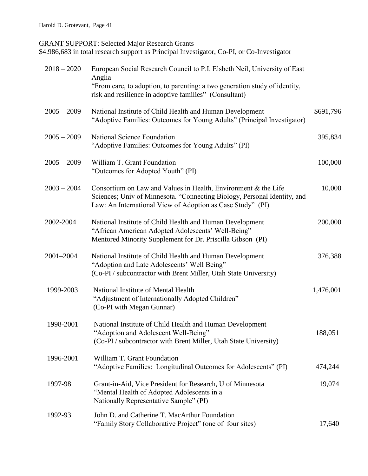### **GRANT SUPPORT: Selected Major Research Grants**

\$4.986,683 in total research support as Principal Investigator, Co-PI, or Co-Investigator

| $2018 - 2020$ | European Social Research Council to P.I. Elsbeth Neil, University of East<br>Anglia<br>"From care, to adoption, to parenting: a two generation study of identity,<br>risk and resilience in adoptive families" (Consultant) |           |
|---------------|-----------------------------------------------------------------------------------------------------------------------------------------------------------------------------------------------------------------------------|-----------|
| $2005 - 2009$ | National Institute of Child Health and Human Development<br>"Adoptive Families: Outcomes for Young Adults" (Principal Investigator)                                                                                         | \$691,796 |
| $2005 - 2009$ | National Science Foundation<br>"Adoptive Families: Outcomes for Young Adults" (PI)                                                                                                                                          | 395,834   |
| $2005 - 2009$ | William T. Grant Foundation<br>"Outcomes for Adopted Youth" (PI)                                                                                                                                                            | 100,000   |
| $2003 - 2004$ | Consortium on Law and Values in Health, Environment & the Life<br>Sciences; Univ of Minnesota. "Connecting Biology, Personal Identity, and<br>Law: An International View of Adoption as Case Study" (PI)                    | 10,000    |
| 2002-2004     | National Institute of Child Health and Human Development<br>"African American Adopted Adolescents' Well-Being"<br>Mentored Minority Supplement for Dr. Priscilla Gibson (PI)                                                | 200,000   |
| 2001-2004     | National Institute of Child Health and Human Development<br>"Adoption and Late Adolescents' Well Being"<br>(Co-PI / subcontractor with Brent Miller, Utah State University)                                                 | 376,388   |
| 1999-2003     | National Institute of Mental Health<br>"Adjustment of Internationally Adopted Children"<br>(Co-PI with Megan Gunnar)                                                                                                        | 1,476,001 |
| 1998-2001     | National Institute of Child Health and Human Development<br>"Adoption and Adolescent Well-Being"<br>(Co-PI / subcontractor with Brent Miller, Utah State University)                                                        | 188,051   |
| 1996-2001     | William T. Grant Foundation<br>"Adoptive Families: Longitudinal Outcomes for Adolescents" (PI)                                                                                                                              | 474,244   |
| 1997-98       | Grant-in-Aid, Vice President for Research, U of Minnesota<br>"Mental Health of Adopted Adolescents in a<br>Nationally Representative Sample" (PI)                                                                           | 19,074    |
| 1992-93       | John D. and Catherine T. MacArthur Foundation<br>"Family Story Collaborative Project" (one of four sites)                                                                                                                   | 17,640    |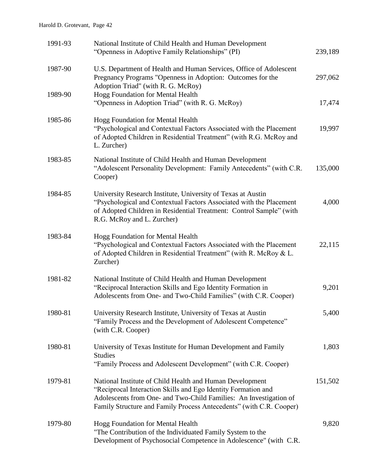| 1991-93 | National Institute of Child Health and Human Development<br>"Openness in Adoptive Family Relationships" (PI)                                                                                                                                                          | 239,189 |
|---------|-----------------------------------------------------------------------------------------------------------------------------------------------------------------------------------------------------------------------------------------------------------------------|---------|
| 1987-90 | U.S. Department of Health and Human Services, Office of Adolescent<br>Pregnancy Programs "Openness in Adoption: Outcomes for the<br>Adoption Triad" (with R. G. McRoy)                                                                                                | 297,062 |
| 1989-90 | Hogg Foundation for Mental Health<br>"Openness in Adoption Triad" (with R. G. McRoy)                                                                                                                                                                                  | 17,474  |
| 1985-86 | Hogg Foundation for Mental Health<br>"Psychological and Contextual Factors Associated with the Placement<br>of Adopted Children in Residential Treatment" (with R.G. McRoy and<br>L. Zurcher)                                                                         | 19,997  |
| 1983-85 | National Institute of Child Health and Human Development<br>"Adolescent Personality Development: Family Antecedents" (with C.R.<br>Cooper)                                                                                                                            | 135,000 |
| 1984-85 | University Research Institute, University of Texas at Austin<br>"Psychological and Contextual Factors Associated with the Placement<br>of Adopted Children in Residential Treatment: Control Sample" (with<br>R.G. McRoy and L. Zurcher)                              | 4,000   |
| 1983-84 | Hogg Foundation for Mental Health<br>"Psychological and Contextual Factors Associated with the Placement<br>of Adopted Children in Residential Treatment" (with R. McRoy & L.<br>Zurcher)                                                                             | 22,115  |
| 1981-82 | National Institute of Child Health and Human Development<br>"Reciprocal Interaction Skills and Ego Identity Formation in<br>Adolescents from One- and Two-Child Families" (with C.R. Cooper)                                                                          | 9,201   |
| 1980-81 | University Research Institute, University of Texas at Austin<br>"Family Process and the Development of Adolescent Competence"<br>(with C.R. Cooper)                                                                                                                   | 5,400   |
| 1980-81 | University of Texas Institute for Human Development and Family<br><b>Studies</b><br>"Family Process and Adolescent Development" (with C.R. Cooper)                                                                                                                    | 1,803   |
| 1979-81 | National Institute of Child Health and Human Development<br>"Reciprocal Interaction Skills and Ego Identity Formation and<br>Adolescents from One- and Two-Child Families: An Investigation of<br>Family Structure and Family Process Antecedents" (with C.R. Cooper) | 151,502 |
| 1979-80 | Hogg Foundation for Mental Health<br>"The Contribution of the Individuated Family System to the<br>Development of Psychosocial Competence in Adolescence" (with C.R.                                                                                                  | 9,820   |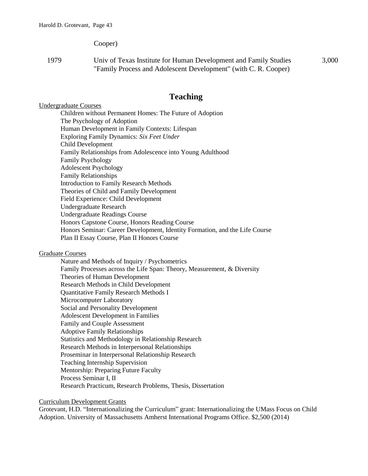Cooper)

1979 Univ of Texas Institute for Human Development and Family Studies "Family Process and Adolescent Development" (with C. R. Cooper) 3,000

## **Teaching**

#### Undergraduate Courses

Children without Permanent Homes: The Future of Adoption The Psychology of Adoption Human Development in Family Contexts: Lifespan Exploring Family Dynamics: *Six Feet Under* Child Development Family Relationships from Adolescence into Young Adulthood Family Psychology Adolescent Psychology Family Relationships Introduction to Family Research Methods Theories of Child and Family Development Field Experience: Child Development Undergraduate Research Undergraduate Readings Course Honors Capstone Course, Honors Reading Course Honors Seminar: Career Development, Identity Formation, and the Life Course Plan II Essay Course, Plan II Honors Course

#### Graduate Courses

Nature and Methods of Inquiry / Psychometrics Family Processes across the Life Span: Theory, Measurement, & Diversity Theories of Human Development Research Methods in Child Development Quantitative Family Research Methods I Microcomputer Laboratory Social and Personality Development Adolescent Development in Families Family and Couple Assessment Adoptive Family Relationships Statistics and Methodology in Relationship Research Research Methods in Interpersonal Relationships Proseminar in Interpersonal Relationship Research Teaching Internship Supervision Mentorship: Preparing Future Faculty Process Seminar I, II Research Practicum, Research Problems, Thesis, Dissertation

#### Curriculum Development Grants

Grotevant, H.D. "Internationalizing the Curriculum" grant: Internationalizing the UMass Focus on Child Adoption. University of Massachusetts Amherst International Programs Office. \$2,500 (2014)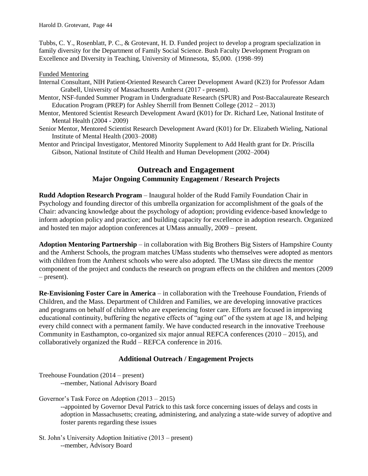Tubbs, C. Y., Rosenblatt, P. C., & Grotevant, H. D. Funded project to develop a program specialization in family diversity for the Department of Family Social Science. Bush Faculty Development Program on Excellence and Diversity in Teaching, University of Minnesota, \$5,000. (1998–99)

#### Funded Mentoring

- Internal Consultant, NIH Patient-Oriented Research Career Development Award (K23) for Professor Adam Grabell, University of Massachusetts Amherst (2017 - present).
- Mentor, NSF-funded Summer Program in Undergraduate Research (SPUR) and Post-Baccalaureate Research Education Program (PREP) for Ashley Sherrill from Bennett College (2012 – 2013)
- Mentor, Mentored Scientist Research Development Award (K01) for Dr. Richard Lee, National Institute of Mental Health (2004 - 2009)
- Senior Mentor, Mentored Scientist Research Development Award (K01) for Dr. Elizabeth Wieling, National Institute of Mental Health (2003–2008)

Mentor and Principal Investigator, Mentored Minority Supplement to Add Health grant for Dr. Priscilla Gibson, National Institute of Child Health and Human Development (2002–2004)

# **Outreach and Engagement Major Ongoing Community Engagement / Research Projects**

**Rudd Adoption Research Program** – Inaugural holder of the Rudd Family Foundation Chair in Psychology and founding director of this umbrella organization for accomplishment of the goals of the Chair: advancing knowledge about the psychology of adoption; providing evidence-based knowledge to inform adoption policy and practice; and building capacity for excellence in adoption research. Organized and hosted ten major adoption conferences at UMass annually, 2009 – present.

**Adoption Mentoring Partnership** – in collaboration with Big Brothers Big Sisters of Hampshire County and the Amherst Schools, the program matches UMass students who themselves were adopted as mentors with children from the Amherst schools who were also adopted. The UMass site directs the mentor component of the project and conducts the research on program effects on the children and mentors (2009 – present).

**Re-Envisioning Foster Care in America** – in collaboration with the Treehouse Foundation, Friends of Children, and the Mass. Department of Children and Families, we are developing innovative practices and programs on behalf of children who are experiencing foster care. Efforts are focused in improving educational continuity, buffering the negative effects of "aging out" of the system at age 18, and helping every child connect with a permanent family. We have conducted research in the innovative Treehouse Community in Easthampton, co-organized six major annual REFCA conferences (2010 – 2015), and collaboratively organized the Rudd – REFCA conference in 2016.

### **Additional Outreach / Engagement Projects**

Treehouse Foundation (2014 – present) --member, National Advisory Board

Governor's Task Force on Adoption (2013 – 2015)

--appointed by Governor Deval Patrick to this task force concerning issues of delays and costs in adoption in Massachusetts; creating, administering, and analyzing a state-wide survey of adoptive and foster parents regarding these issues

St. John's University Adoption Initiative (2013 – present) --member, Advisory Board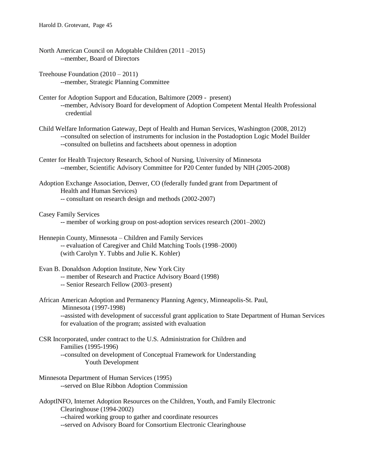- North American Council on Adoptable Children (2011 –2015) --member, Board of Directors
- Treehouse Foundation (2010 2011) --member, Strategic Planning Committee
- Center for Adoption Support and Education, Baltimore (2009 present) --member, Advisory Board for development of Adoption Competent Mental Health Professional credential
- Child Welfare Information Gateway, Dept of Health and Human Services, Washington (2008, 2012) --consulted on selection of instruments for inclusion in the Postadoption Logic Model Builder --consulted on bulletins and factsheets about openness in adoption
- Center for Health Trajectory Research, School of Nursing, University of Minnesota --member, Scientific Advisory Committee for P20 Center funded by NIH (2005-2008)

Adoption Exchange Association, Denver, CO (federally funded grant from Department of Health and Human Services) -- consultant on research design and methods (2002-2007)

- Casey Family Services
	- -- member of working group on post-adoption services research (2001–2002)

Hennepin County, Minnesota – Children and Family Services -- evaluation of Caregiver and Child Matching Tools (1998–2000) (with Carolyn Y. Tubbs and Julie K. Kohler)

- Evan B. Donaldson Adoption Institute, New York City
	- -- member of Research and Practice Advisory Board (1998)
	- -- Senior Research Fellow (2003–present)
- African American Adoption and Permanency Planning Agency, Minneapolis-St. Paul,

Minnesota (1997-1998)

--assisted with development of successful grant application to State Department of Human Services for evaluation of the program; assisted with evaluation

- CSR Incorporated, under contract to the U.S. Administration for Children and Families (1995-1996) --consulted on development of Conceptual Framework for Understanding Youth Development
- Minnesota Department of Human Services (1995) --served on Blue Ribbon Adoption Commission

AdoptINFO, Internet Adoption Resources on the Children, Youth, and Family Electronic Clearinghouse (1994-2002) --chaired working group to gather and coordinate resources --served on Advisory Board for Consortium Electronic Clearinghouse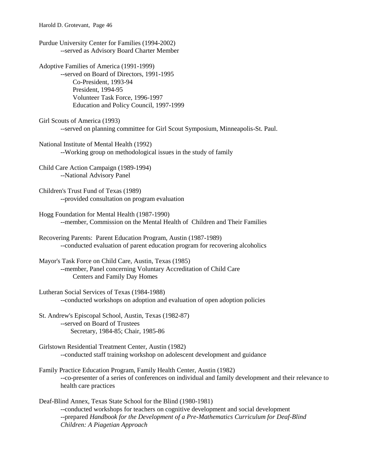Harold D. Grotevant, Page 46

Purdue University Center for Families (1994-2002) --served as Advisory Board Charter Member

Adoptive Families of America (1991-1999) --served on Board of Directors, 1991-1995 Co-President, 1993-94 President, 1994-95 Volunteer Task Force, 1996-1997 Education and Policy Council, 1997-1999

Girl Scouts of America (1993) --served on planning committee for Girl Scout Symposium, Minneapolis-St. Paul.

National Institute of Mental Health (1992) --Working group on methodological issues in the study of family

Child Care Action Campaign (1989-1994) --National Advisory Panel

Children's Trust Fund of Texas (1989) --provided consultation on program evaluation

Hogg Foundation for Mental Health (1987-1990) --member, Commission on the Mental Health of Children and Their Families

Recovering Parents: Parent Education Program, Austin (1987-1989) --conducted evaluation of parent education program for recovering alcoholics

Mayor's Task Force on Child Care, Austin, Texas (1985) --member, Panel concerning Voluntary Accreditation of Child Care Centers and Family Day Homes

Lutheran Social Services of Texas (1984-1988) --conducted workshops on adoption and evaluation of open adoption policies

St. Andrew's Episcopal School, Austin, Texas (1982-87) --served on Board of Trustees Secretary, 1984-85; Chair, 1985-86

Girlstown Residential Treatment Center, Austin (1982) --conducted staff training workshop on adolescent development and guidance

Family Practice Education Program, Family Health Center, Austin (1982) --co-presenter of a series of conferences on individual and family development and their relevance to health care practices

Deaf-Blind Annex, Texas State School for the Blind (1980-1981) --conducted workshops for teachers on cognitive development and social development --prepared *Handbook for the Development of a Pre-Mathematics Curriculum for Deaf-Blind Children: A Piagetian Approach*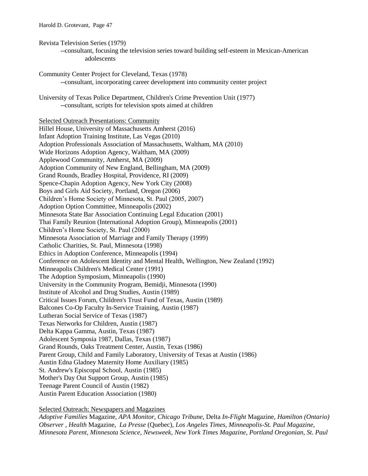- Revista Television Series (1979)
	- --consultant, focusing the television series toward building self-esteem in Mexican-American adolescents
- Community Center Project for Cleveland, Texas (1978) --consultant, incorporating career development into community center project
- University of Texas Police Department, Children's Crime Prevention Unit (1977) --consultant, scripts for television spots aimed at children

Selected Outreach Presentations: Community Hillel House, University of Massachusetts Amherst (2016) Infant Adoption Training Institute, Las Vegas (2010) Adoption Professionals Association of Massachusetts, Waltham, MA (2010) Wide Horizons Adoption Agency, Waltham, MA (2009) Applewood Community, Amherst, MA (2009) Adoption Community of New England, Bellingham, MA (2009) Grand Rounds, Bradley Hospital, Providence, RI (2009) Spence-Chapin Adoption Agency, New York City (2008) Boys and Girls Aid Society, Portland, Oregon (2006) Children's Home Society of Minnesota, St. Paul (2005, 2007) Adoption Option Committee, Minneapolis (2002) Minnesota State Bar Association Continuing Legal Education (2001) Thai Family Reunion (International Adoption Group), Minneapolis (2001) Children's Home Society, St. Paul (2000) Minnesota Association of Marriage and Family Therapy (1999) Catholic Charities, St. Paul, Minnesota (1998) Ethics in Adoption Conference, Minneapolis (1994) Conference on Adolescent Identity and Mental Health, Wellington, New Zealand (1992) Minneapolis Children's Medical Center (1991) The Adoption Symposium, Minneapolis (1990) University in the Community Program, Bemidji, Minnesota (1990) Institute of Alcohol and Drug Studies, Austin (1989) Critical Issues Forum, Children's Trust Fund of Texas, Austin (1989) Balcones Co-Op Faculty In-Service Training, Austin (1987) Lutheran Social Service of Texas (1987) Texas Networks for Children, Austin (1987) Delta Kappa Gamma, Austin, Texas (1987) Adolescent Symposia 1987, Dallas, Texas (1987) Grand Rounds, Oaks Treatment Center, Austin, Texas (1986) Parent Group, Child and Family Laboratory, University of Texas at Austin (1986) Austin Edna Gladney Maternity Home Auxiliary (1985) St. Andrew's Episcopal School, Austin (1985) Mother's Day Out Support Group, Austin (1985) Teenage Parent Council of Austin (1982) Austin Parent Education Association (1980)

Selected Outreach: Newspapers and Magazines

*Adoptive Families* Magazine, *APA Monitor*, *Chicago Tribune*, Delta *In-Flight* Magazine, *Hamilton (Ontario) Observer , Health* Magazine, *La Presse* (Quebec), *Los Angeles Times, Minneapolis-St. Paul Magazine, Minnesota Parent, Minnesota Science, Newsweek*, *New York Times Magazine*, *Portland Oregonian*, *St. Paul*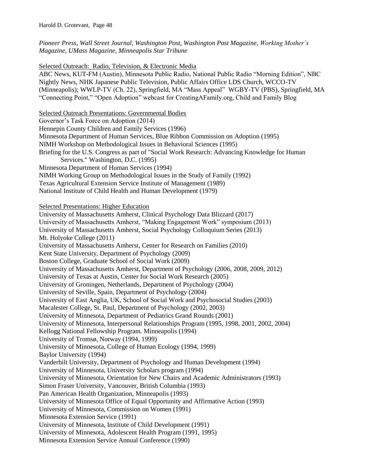*Pioneer Press*, *Wall Street Journal, Washington Post, Washington Post Magazine, Working Mother's Magazine, UMass Magazine, Minneapolis Star Tribune*

Selected Outreach: Radio, Television, & Electronic Media

ABC News, KUT-FM (Austin), Minnesota Public Radio, National Public Radio "Morning Edition", NBC Nightly News, NHK Japanese Public Television, Public Affairs Office LDS Church, WCCO-TV (Minneapolis); WWLP-TV (Ch. 22), Springfield, MA "Mass Appeal" WGBY-TV (PBS), Springfield, MA "Connecting Point," "Open Adoption" webcast for CreatingAFamily.org, Child and Family Blog

Selected Outreach Presentations: Governmental Bodies Governor's Task Force on Adoption (2014) Hennepin County Children and Family Services (1996) Minnesota Department of Human Services, Blue Ribbon Commission on Adoption (1995) NIMH Workshop on Methodological Issues in Behavioral Sciences (1995) Briefing for the U.S. Congress as part of "Social Work Research: Advancing Knowledge for Human Services." Washington, D.C. (1995) Minnesota Department of Human Services (1994) NIMH Working Group on Methodological Issues in the Study of Family (1992) Texas Agricultural Extension Service Institute of Management (1989) National Institute of Child Health and Human Development (1979) Selected Presentations: Higher Education University of Massachusetts Amherst, Clinical Psychology Data Blizzard (2017) University of Massachusetts Amherst, "Making Engagement Work" symposium (2013) University of Massachusetts Amherst, Social Psychology Colloquium Series (2013) Mt. Holyoke College (2011) University of Massachusetts Amherst, Center for Research on Families (2010) Kent State University, Department of Psychology (2009) Boston College, Graduate School of Social Work (2009) University of Massachusetts Amherst, Department of Psychology (2006, 2008, 2009, 2012) University of Texas at Austin, Center for Social Work Research (2005) University of Groningen, Netherlands, Department of Psychology (2004) University of Seville, Spain, Department of Psychology (2004) University of East Anglia, UK, School of Social Work and Psychosocial Studies (2003) Macalester College, St. Paul, Department of Psychology (2002, 2003) University of Minnesota, Department of Pediatrics Grand Rounds (2001) University of Minnesota, Interpersonal Relationships Program (1995, 1998, 2001, 2002, 2004) Kellogg National Fellowship Program. Minneapolis (1994) University of Tromsø, Norway (1994, 1999) University of Minnesota, College of Human Ecology (1994, 1999) Baylor University (1994) Vanderbilt University, Department of Psychology and Human Development (1994) University of Minnesota, University Scholars program (1994) University of Minnesota, Orientation for New Chairs and Academic Administrators (1993) Simon Fraser University, Vancouver, British Columbia (1993) Pan American Health Organization, Minneapolis (1993) University of Minnesota Office of Equal Opportunity and Affirmative Action (1993) University of Minnesota, Commission on Women (1991) Minnesota Extension Service (1991) University of Minnesota, Institute of Child Development (1991) University of Minnesota, Adolescent Health Program (1991, 1995) Minnesota Extension Service Annual Conference (1990)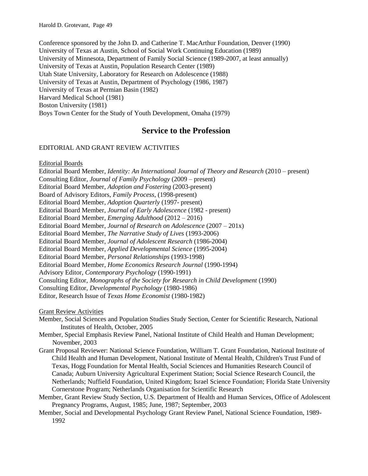Conference sponsored by the John D. and Catherine T. MacArthur Foundation, Denver (1990) University of Texas at Austin, School of Social Work Continuing Education (1989) University of Minnesota, Department of Family Social Science (1989-2007, at least annually) University of Texas at Austin, Population Research Center (1989) Utah State University, Laboratory for Research on Adolescence (1988) University of Texas at Austin, Department of Psychology (1986, 1987) University of Texas at Permian Basin (1982) Harvard Medical School (1981) Boston University (1981) Boys Town Center for the Study of Youth Development, Omaha (1979)

# **Service to the Profession**

#### EDITORIAL AND GRANT REVIEW ACTIVITIES

Editorial Boards

Editorial Board Member, *Identity: An International Journal of Theory and Research* (2010 – present) Consulting Editor, *Journal of Family Psychology* (2009 – present) Editorial Board Member, *Adoption and Fostering* (2003-present) Board of Advisory Editors, *Family Process,* (1998-present) Editorial Board Member, *Adoption Quarterly* (1997- present) Editorial Board Member, *Journal of Early Adolescence* (1982 - present) Editorial Board Member, *Emerging Adulthood* (2012 – 2016) Editorial Board Member, *Journal of Research on Adolescence* (2007 – 201x) Editorial Board Member, *The Narrative Study of Lives* (1993-2006) Editorial Board Member, *Journal of Adolescent Research* (1986-2004) Editorial Board Member, *Applied Developmental Science* (1995-2004) Editorial Board Member, *Personal Relationships* (1993-1998) Editorial Board Member, *Home Economics Research Journal* (1990-1994) Advisory Editor, *Contemporary Psychology* (1990-1991) Consulting Editor, *Monographs of the Society for Research in Child Development* (1990) Consulting Editor, *Developmental Psychology* (1980-1986) Editor, Research Issue of *Texas Home Economist* (1980-1982)

Grant Review Activities

Member, Social Sciences and Population Studies Study Section, Center for Scientific Research, National Institutes of Health, October, 2005

Member, Special Emphasis Review Panel, National Institute of Child Health and Human Development; November, 2003

- Grant Proposal Reviewer: National Science Foundation, William T. Grant Foundation, National Institute of Child Health and Human Development, National Institute of Mental Health, Children's Trust Fund of Texas, Hogg Foundation for Mental Health, Social Sciences and Humanities Research Council of Canada; Auburn University Agricultural Experiment Station; Social Science Research Council, the Netherlands; Nuffield Foundation, United Kingdom; Israel Science Foundation; Florida State University Cornerstone Program; Netherlands Organisation for Scientific Research
- Member, Grant Review Study Section, U.S. Department of Health and Human Services, Office of Adolescent Pregnancy Programs, August, 1985; June, 1987; September, 2003
- Member, Social and Developmental Psychology Grant Review Panel, National Science Foundation, 1989- 1992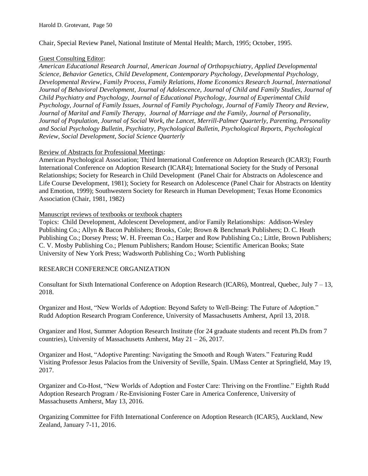Chair, Special Review Panel, National Institute of Mental Health; March, 1995; October, 1995.

#### Guest Consulting Editor:

*American Educational Research Journal, American Journal of Orthopsychiatry, Applied Developmental Science, Behavior Genetics, Child Development, Contemporary Psychology, Developmental Psychology, Developmental Review*, *Family Process, Family Relations, Home Economics Research Journal, International Journal of Behavioral Development, Journal of Adolescence, Journal of Child and Family Studies, Journal of Child Psychiatry and Psychology, Journal of Educational Psychology, Journal of Experimental Child Psychology, Journal of Family Issues, Journal of Family Psychology, Journal of Family Theory and Review, Journal of Marital and Family Therapy, Journal of Marriage and the Family, Journal of Personality, Journal of Population, Journal of Social Work, the Lancet, Merrill-Palmer Quarterly, Parenting, Personality and Social Psychology Bulletin, Psychiatry, Psychological Bulletin, Psychological Reports, Psychological Review, Social Development, Social Science Quarterly*

#### Review of Abstracts for Professional Meetings:

American Psychological Association; Third International Conference on Adoption Research (ICAR3); Fourth International Conference on Adoption Research (ICAR4); International Society for the Study of Personal Relationships; Society for Research in Child Development (Panel Chair for Abstracts on Adolescence and Life Course Development, 1981); Society for Research on Adolescence (Panel Chair for Abstracts on Identity and Emotion, 1999); Southwestern Society for Research in Human Development; Texas Home Economics Association (Chair, 1981, 1982)

#### Manuscript reviews of textbooks or textbook chapters

Topics: Child Development, Adolescent Development, and/or Family Relationships: Addison-Wesley Publishing Co.; Allyn & Bacon Publishers; Brooks, Cole; Brown & Benchmark Publishers; D. C. Heath Publishing Co.; Dorsey Press; W. H. Freeman Co.; Harper and Row Publishing Co.; Little, Brown Publishers; C. V. Mosby Publishing Co.; Plenum Publishers; Random House; Scientific American Books; State University of New York Press; Wadsworth Publishing Co.; Worth Publishing

#### RESEARCH CONFERENCE ORGANIZATION

Consultant for Sixth International Conference on Adoption Research (ICAR6), Montreal, Quebec, July 7 – 13, 2018.

Organizer and Host, "New Worlds of Adoption: Beyond Safety to Well-Being: The Future of Adoption." Rudd Adoption Research Program Conference, University of Massachusetts Amherst, April 13, 2018.

Organizer and Host, Summer Adoption Research Institute (for 24 graduate students and recent Ph.Ds from 7 countries), University of Massachusetts Amherst, May 21 – 26, 2017.

Organizer and Host, "Adoptive Parenting: Navigating the Smooth and Rough Waters." Featuring Rudd Visiting Professor Jesus Palacios from the University of Seville, Spain. UMass Center at Springfield, May 19, 2017.

Organizer and Co-Host, "New Worlds of Adoption and Foster Care: Thriving on the Frontline." Eighth Rudd Adoption Research Program / Re-Envisioning Foster Care in America Conference, University of Massachusetts Amherst, May 13, 2016.

Organizing Committee for Fifth International Conference on Adoption Research (ICAR5), Auckland, New Zealand, January 7-11, 2016.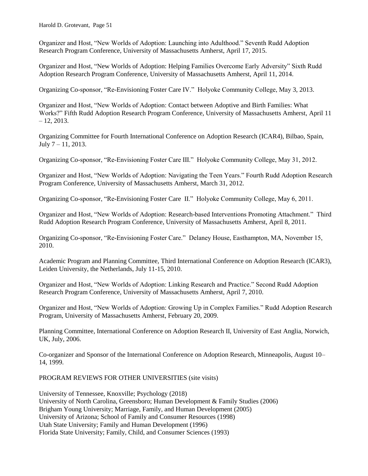Harold D. Grotevant, Page 51

Organizer and Host, "New Worlds of Adoption: Launching into Adulthood." Seventh Rudd Adoption Research Program Conference, University of Massachusetts Amherst, April 17, 2015.

Organizer and Host, "New Worlds of Adoption: Helping Families Overcome Early Adversity" Sixth Rudd Adoption Research Program Conference, University of Massachusetts Amherst, April 11, 2014.

Organizing Co-sponsor, "Re-Envisioning Foster Care IV." Holyoke Community College, May 3, 2013.

Organizer and Host, "New Worlds of Adoption: Contact between Adoptive and Birth Families: What Works?" Fifth Rudd Adoption Research Program Conference, University of Massachusetts Amherst, April 11  $-12, 2013.$ 

Organizing Committee for Fourth International Conference on Adoption Research (ICAR4), Bilbao, Spain,  $July 7-11, 2013.$ 

Organizing Co-sponsor, "Re-Envisioning Foster Care III." Holyoke Community College, May 31, 2012.

Organizer and Host, "New Worlds of Adoption: Navigating the Teen Years." Fourth Rudd Adoption Research Program Conference, University of Massachusetts Amherst, March 31, 2012.

Organizing Co-sponsor, "Re-Envisioning Foster Care II." Holyoke Community College, May 6, 2011.

Organizer and Host, "New Worlds of Adoption: Research-based Interventions Promoting Attachment." Third Rudd Adoption Research Program Conference, University of Massachusetts Amherst, April 8, 2011.

Organizing Co-sponsor, "Re-Envisioning Foster Care." Delaney House, Easthampton, MA, November 15, 2010.

Academic Program and Planning Committee, Third International Conference on Adoption Research (ICAR3), Leiden University, the Netherlands, July 11-15, 2010.

Organizer and Host, "New Worlds of Adoption: Linking Research and Practice." Second Rudd Adoption Research Program Conference, University of Massachusetts Amherst, April 7, 2010.

Organizer and Host, "New Worlds of Adoption: Growing Up in Complex Families." Rudd Adoption Research Program, University of Massachusetts Amherst, February 20, 2009.

Planning Committee, International Conference on Adoption Research II, University of East Anglia, Norwich, UK, July, 2006.

Co-organizer and Sponsor of the International Conference on Adoption Research, Minneapolis, August 10– 14, 1999.

#### PROGRAM REVIEWS FOR OTHER UNIVERSITIES (site visits)

University of Tennessee, Knoxville; Psychology (2018) University of North Carolina, Greensboro; Human Development & Family Studies (2006) Brigham Young University; Marriage, Family, and Human Development (2005) University of Arizona; School of Family and Consumer Resources (1998) Utah State University; Family and Human Development (1996) Florida State University; Family, Child, and Consumer Sciences (1993)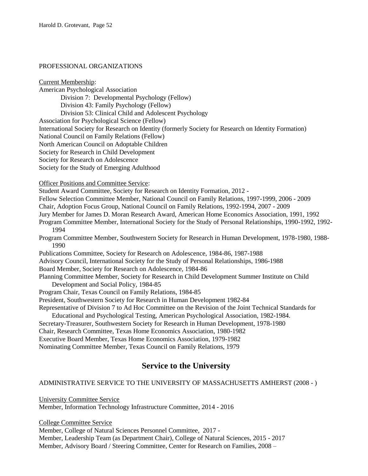### PROFESSIONAL ORGANIZATIONS

Current Membership:

American Psychological Association Division 7: Developmental Psychology (Fellow) Division 43: Family Psychology (Fellow) Division 53: Clinical Child and Adolescent Psychology Association for Psychological Science (Fellow) International Society for Research on Identity (formerly Society for Research on Identity Formation) National Council on Family Relations (Fellow) North American Council on Adoptable Children Society for Research in Child Development Society for Research on Adolescence Society for the Study of Emerging Adulthood

Officer Positions and Committee Service:

Student Award Committee, Society for Research on Identity Formation, 2012 -

Fellow Selection Committee Member, National Council on Family Relations, 1997-1999, 2006 - 2009

Chair, Adoption Focus Group, National Council on Family Relations, 1992-1994, 2007 - 2009

Jury Member for James D. Moran Research Award, American Home Economics Association, 1991, 1992

Program Committee Member, International Society for the Study of Personal Relationships, 1990-1992, 1992- 1994

Program Committee Member, Southwestern Society for Research in Human Development, 1978-1980, 1988- 1990

Publications Committee, Society for Research on Adolescence, 1984-86, 1987-1988

Advisory Council, International Society for the Study of Personal Relationships, 1986-1988

Board Member, Society for Research on Adolescence, 1984-86

Planning Committee Member, Society for Research in Child Development Summer Institute on Child Development and Social Policy, 1984-85

Program Chair, Texas Council on Family Relations, 1984-85

President, Southwestern Society for Research in Human Development 1982-84

Representative of Division 7 to Ad Hoc Committee on the Revision of the Joint Technical Standards for Educational and Psychological Testing, American Psychological Association, 1982-1984.

Secretary-Treasurer, Southwestern Society for Research in Human Development, 1978-1980

Chair, Research Committee, Texas Home Economics Association, 1980-1982

Executive Board Member, Texas Home Economics Association, 1979-1982

Nominating Committee Member, Texas Council on Family Relations, 1979

# **Service to the University**

### ADMINISTRATIVE SERVICE TO THE UNIVERSITY OF MASSACHUSETTS AMHERST (2008 - )

University Committee Service Member, Information Technology Infrastructure Committee, 2014 - 2016

College Committee Service Member, College of Natural Sciences Personnel Committee, 2017 - Member, Leadership Team (as Department Chair), College of Natural Sciences, 2015 - 2017 Member, Advisory Board / Steering Committee, Center for Research on Families, 2008 –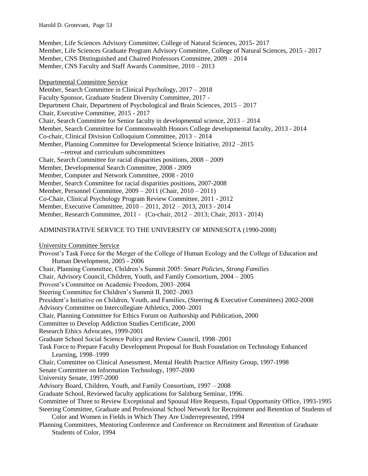Member, Life Sciences Advisory Committee, College of Natural Sciences, 2015- 2017 Member, Life Sciences Graduate Program Advisory Committee, College of Natural Sciences, 2015 - 2017 Member, CNS Distinguished and Chaired Professors Committee, 2009 – 2014 Member, CNS Faculty and Staff Awards Committee, 2010 – 2013

Departmental Committee Service Member, Search Committee in Clinical Psychology, 2017 – 2018 Faculty Sponsor, Graduate Student Diversity Committee, 2017 - Department Chair, Department of Psychological and Brain Sciences, 2015 – 2017 Chair, Executive Committee, 2015 - 2017 Chair, Search Committee for Senior faculty in developmental science, 2013 – 2014 Member, Search Committee for Commonwealth Honors College developmental faculty, 2013 - 2014 Co-chair, Clinical Division Colloquium Committee, 2013 – 2014 Member, Planning Committee for Developmental Science Initiative, 2012 –2015 --retreat and curriculum subcommittees Chair, Search Committee for racial disparities positions, 2008 – 2009 Member, Developmental Search Committee, 2008 - 2009 Member, Computer and Network Committee, 2008 - 2010 Member, Search Committee for racial disparities positions, 2007-2008 Member, Personnel Committee, 2009 – 2011 (Chair, 2010 – 2011) Co-Chair, Clinical Psychology Program Review Committee, 2011 - 2012 Member, Executive Committee, 2010 – 2011, 2012 – 2013, 2013 - 2014 Member, Research Committee, 2011 - (Co-chair, 2012 – 2013; Chair, 2013 - 2014)

#### ADMINISTRATIVE SERVICE TO THE UNIVERSITY OF MINNESOTA (1990-2008)

University Committee Service

Provost's Task Force for the Merger of the College of Human Ecology and the College of Education and Human Development, 2005 - 2006 Chair, Planning Committee, Children's Summit 2005: *Smart Policies, Strong Families*

Chair, Advisory Council, Children, Youth, and Family Consortium, 2004 – 2005

Provost's Committee on Academic Freedom, 2003–2004

Steering Committee for Children's Summit II, 2002–2003

President's Initiative on Children, Youth, and Families, (Steering & Executive Committees) 2002-2008

Advisory Committee on Intercollegiate Athletics, 2000–2001

Chair, Planning Committee for Ethics Forum on Authorship and Publication, 2000

Committee to Develop Addiction Studies Certificate, 2000

Research Ethics Advocates, 1999-2001

Graduate School Social Science Policy and Review Council, 1998–2001

Task Force to Prepare Faculty Development Proposal for Bush Foundation on Technology Enhanced Learning, 1998–1999

Chair, Committee on Clinical Assessment, Mental Health Practice Affinity Group, 1997-1998

Senate Committee on Information Technology, 1997-2000

University Senate, 1997-2000

Advisory Board, Children, Youth, and Family Consortium, 1997 – 2008

Graduate School, Reviewed faculty applications for Salzburg Seminar, 1996.

Committee of Three to Review Exceptional and Spousal Hire Requests, Equal Opportunity Office, 1993-1995

Steering Committee, Graduate and Professional School Network for Recruitment and Retention of Students of Color and Women in Fields in Which They Are Underrepresented, 1994

Planning Committees, Mentoring Conference and Conference on Recruitment and Retention of Graduate Students of Color, 1994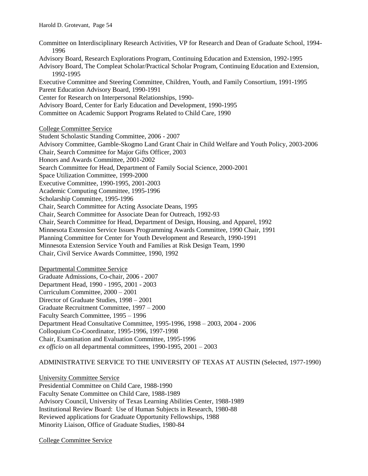Committee on Interdisciplinary Research Activities, VP for Research and Dean of Graduate School, 1994- 1996 Advisory Board, Research Explorations Program, Continuing Education and Extension, 1992-1995 Advisory Board, The Compleat Scholar/Practical Scholar Program, Continuing Education and Extension, 1992-1995 Executive Committee and Steering Committee, Children, Youth, and Family Consortium, 1991-1995 Parent Education Advisory Board, 1990-1991 Center for Research on Interpersonal Relationships, 1990- Advisory Board, Center for Early Education and Development, 1990-1995 Committee on Academic Support Programs Related to Child Care, 1990 College Committee Service Student Scholastic Standing Committee, 2006 - 2007 Advisory Committee, Gamble-Skogmo Land Grant Chair in Child Welfare and Youth Policy, 2003-2006 Chair, Search Committee for Major Gifts Officer, 2003 Honors and Awards Committee, 2001-2002 Search Committee for Head, Department of Family Social Science, 2000-2001 Space Utilization Committee, 1999-2000 Executive Committee, 1990-1995, 2001-2003 Academic Computing Committee, 1995-1996 Scholarship Committee, 1995-1996

Chair, Search Committee for Acting Associate Deans, 1995 Chair, Search Committee for Associate Dean for Outreach, 1992-93 Chair, Search Committee for Head, Department of Design, Housing, and Apparel, 1992 Minnesota Extension Service Issues Programming Awards Committee, 1990 Chair, 1991 Planning Committee for Center for Youth Development and Research, 1990-1991 Minnesota Extension Service Youth and Families at Risk Design Team, 1990 Chair, Civil Service Awards Committee, 1990, 1992

Departmental Committee Service Graduate Admissions, Co-chair, 2006 - 2007 Department Head, 1990 - 1995, 2001 - 2003 Curriculum Committee, 2000 – 2001 Director of Graduate Studies, 1998 – 2001 Graduate Recruitment Committee, 1997 – 2000 Faculty Search Committee, 1995 – 1996 Department Head Consultative Committee, 1995-1996, 1998 – 2003, 2004 - 2006 Colloquium Co-Coordinator, 1995-1996, 1997-1998 Chair, Examination and Evaluation Committee, 1995-1996 *ex officio* on all departmental committees, 1990-1995, 2001 – 2003

ADMINISTRATIVE SERVICE TO THE UNIVERSITY OF TEXAS AT AUSTIN (Selected, 1977-1990)

University Committee Service Presidential Committee on Child Care, 1988-1990 Faculty Senate Committee on Child Care, 1988-1989 Advisory Council, University of Texas Learning Abilities Center, 1988-1989 Institutional Review Board: Use of Human Subjects in Research, 1980-88 Reviewed applications for Graduate Opportunity Fellowships, 1988 Minority Liaison, Office of Graduate Studies, 1980-84

College Committee Service